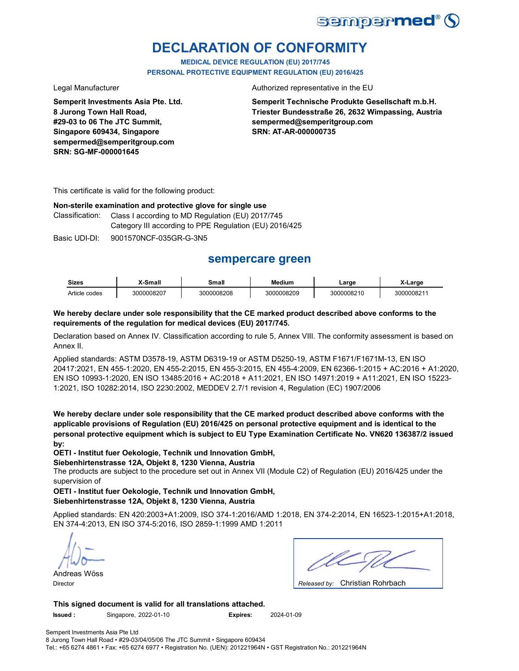

# **DECLARATION OF CONFORMITY**

**MEDICAL DEVICE REGULATION (EU) 2017/745 PERSONAL PROTECTIVE EQUIPMENT REGULATION (EU) 2016/425**

**Semperit Investments Asia Pte. Ltd. 8 Jurong Town Hall Road, #29-03 to 06 The JTC Summit, Singapore 609434, Singapore sempermed@semperitgroup.com SRN: SG-MF-000001645**

Legal Manufacturer **Authorized** representative in the EU

**Semperit Technische Produkte Gesellschaft m.b.H. Triester Bundesstraße 26, 2632 Wimpassing, Austria sempermed@semperitgroup.com SRN: AT-AR-000000735**

This certificate is valid for the following product:

**Non-sterile examination and protective glove for single use**

Class I according to MD Regulation (EU) 2017/745 Category III according to PPE Regulation (EU) 2016/425 Classification:

Basic UDI-DI: 9001570NCF-035GR-G-3N5

# **sempercare green**

| <b>Sizes</b>  | X-Small    | Small      | Medium     | ∟arɑe      | X-Large    |
|---------------|------------|------------|------------|------------|------------|
| Article codes | 3000008207 | 3000008208 | 3000008209 | 3000008210 | 3000008211 |

### **We hereby declare under sole responsibility that the CE marked product described above conforms to the requirements of the regulation for medical devices (EU) 2017/745.**

Declaration based on Annex IV. Classification according to rule 5, Annex VIII. The conformity assessment is based on Annex II.

Applied standards: ASTM D3578-19, ASTM D6319-19 or ASTM D5250-19, ASTM F1671/F1671M-13, EN ISO 20417:2021, EN 455-1:2020, EN 455-2:2015, EN 455-3:2015, EN 455-4:2009, EN 62366-1:2015 + AC:2016 + A1:2020, EN ISO 10993-1:2020, EN ISO 13485:2016 + AC:2018 + A11:2021, EN ISO 14971:2019 + A11:2021, EN ISO 15223- 1:2021, ISO 10282:2014, ISO 2230:2002, MEDDEV 2.7/1 revision 4, Regulation (EC) 1907/2006

**We hereby declare under sole responsibility that the CE marked product described above conforms with the applicable provisions of Regulation (EU) 2016/425 on personal protective equipment and is identical to the personal protective equipment which is subject to EU Type Examination Certificate No. VN620 136387/2 issued by:**

**OETI - Institut fuer Oekologie, Technik und Innovation GmbH,** 

**Siebenhirtenstrasse 12A, Objekt 8, 1230 Vienna, Austria**

The products are subject to the procedure set out in Annex VII (Module C2) of Regulation (EU) 2016/425 under the supervision of

**OETI - Institut fuer Oekologie, Technik und Innovation GmbH, Siebenhirtenstrasse 12A, Objekt 8, 1230 Vienna, Austria**

Applied standards: EN 420:2003+A1:2009, ISO 374-1:2016/AMD 1:2018, EN 374-2:2014, EN 16523-1:2015+A1:2018, EN 374-4:2013, EN ISO 374-5:2016, ISO 2859-1:1999 AMD 1:2011

Andreas Wöss

Christian Rohrbach Director *Released by:* 

**This signed document is valid for all translations attached. Issued :** Singapore, 2022-01-10 **Expires:** 2024-01-09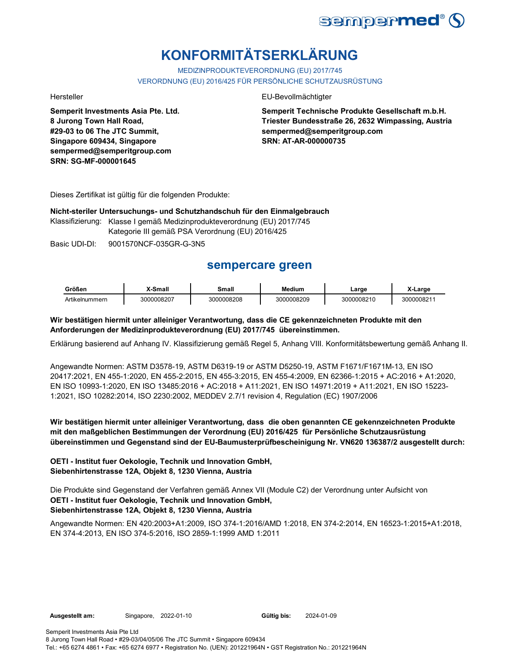

# **KONFORMITÄTSERKLÄRUNG**

MEDIZINPRODUKTEVERORDNUNG (EU) 2017/745 VERORDNUNG (EU) 2016/425 FÜR PERSÖNLICHE SCHUTZAUSRÜSTUNG

**Semperit Investments Asia Pte. Ltd. 8 Jurong Town Hall Road, #29-03 to 06 The JTC Summit, Singapore 609434, Singapore sempermed@semperitgroup.com SRN: SG-MF-000001645**

#### Hersteller EU-Bevollmächtigter

**Semperit Technische Produkte Gesellschaft m.b.H. Triester Bundesstraße 26, 2632 Wimpassing, Austria sempermed@semperitgroup.com SRN: AT-AR-000000735**

Dieses Zertifikat ist gültig für die folgenden Produkte:

#### **Nicht-steriler Untersuchungs- und Schutzhandschuh für den Einmalgebrauch**

Klassifizierung: Klasse I gemäß Medizinprodukteverordnung (EU) 2017/745

Kategorie III gemäß PSA Verordnung (EU) 2016/425

Basic UDI-DI: 9001570NCF-035GR-G-3N5

# **sempercare green**

| Größen         | -Small     | Small      | <b>Medium</b> | ∟arɑe      | arge       |
|----------------|------------|------------|---------------|------------|------------|
| Artikelnummern | 3000008207 | 3000008208 | 3000008209    | 3000008210 | 3000008211 |

### **Wir bestätigen hiermit unter alleiniger Verantwortung, dass die CE gekennzeichneten Produkte mit den Anforderungen der Medizinprodukteverordnung (EU) 2017/745 übereinstimmen.**

Erklärung basierend auf Anhang IV. Klassifizierung gemäß Regel 5, Anhang VIII. Konformitätsbewertung gemäß Anhang II.

Angewandte Normen: ASTM D3578-19, ASTM D6319-19 or ASTM D5250-19, ASTM F1671/F1671M-13, EN ISO 20417:2021, EN 455-1:2020, EN 455-2:2015, EN 455-3:2015, EN 455-4:2009, EN 62366-1:2015 + AC:2016 + A1:2020, EN ISO 10993-1:2020, EN ISO 13485:2016 + AC:2018 + A11:2021, EN ISO 14971:2019 + A11:2021, EN ISO 15223- 1:2021, ISO 10282:2014, ISO 2230:2002, MEDDEV 2.7/1 revision 4, Regulation (EC) 1907/2006

### **Wir bestätigen hiermit unter alleiniger Verantwortung, dass die oben genannten CE gekennzeichneten Produkte mit den maßgeblichen Bestimmungen der Verordnung (EU) 2016/425 für Persönliche Schutzausrüstung übereinstimmen und Gegenstand sind der EU-Baumusterprüfbescheinigung Nr. VN620 136387/2 ausgestellt durch:**

### **OETI - Institut fuer Oekologie, Technik und Innovation GmbH, Siebenhirtenstrasse 12A, Objekt 8, 1230 Vienna, Austria**

Die Produkte sind Gegenstand der Verfahren gemäß Annex VII (Module C2) der Verordnung unter Aufsicht von **OETI - Institut fuer Oekologie, Technik und Innovation GmbH, Siebenhirtenstrasse 12A, Objekt 8, 1230 Vienna, Austria**

Angewandte Normen: EN 420:2003+A1:2009, ISO 374-1:2016/AMD 1:2018, EN 374-2:2014, EN 16523-1:2015+A1:2018, EN 374-4:2013, EN ISO 374-5:2016, ISO 2859-1:1999 AMD 1:2011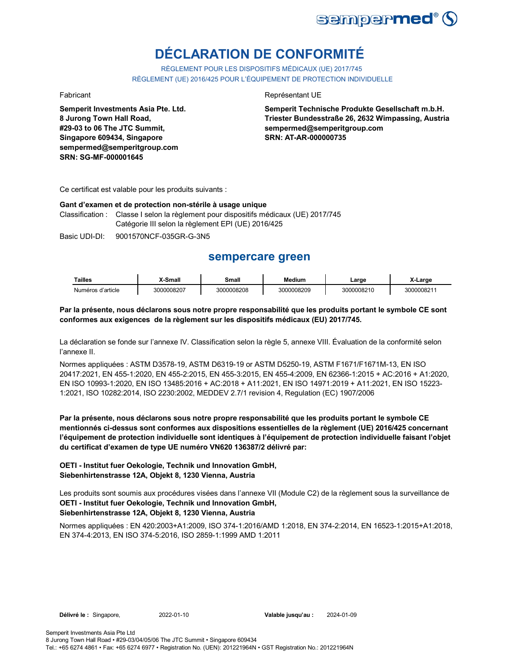

# **DÉCLARATION DE CONFORMITÉ**

RÈGLEMENT POUR LES DISPOSITIFS MÉDICAUX (UE) 2017/745 RÈGLEMENT (UE) 2016/425 POUR L'ÉQUIPEMENT DE PROTECTION INDIVIDUELLE

**Semperit Investments Asia Pte. Ltd. 8 Jurong Town Hall Road, #29-03 to 06 The JTC Summit, Singapore 609434, Singapore sempermed@semperitgroup.com SRN: SG-MF-000001645**

#### Fabricant **Représentant UE**

**Semperit Technische Produkte Gesellschaft m.b.H. Triester Bundesstraße 26, 2632 Wimpassing, Austria sempermed@semperitgroup.com SRN: AT-AR-000000735**

Ce certificat est valable pour les produits suivants :

#### **Gant d'examen et de protection non-stérile à usage unique**

Classification : Classe I selon la règlement pour dispositifs médicaux (UE) 2017/745 Catégorie III selon la règlement EPI (UE) 2016/425

Basic UDI-DI: 9001570NCF-035GR-G-3N5

## **sempercare green**

| <b>Tailles</b>       | i-Small∢.  | Small      | Medium     | ∟arɑe      | X-Large    |
|----------------------|------------|------------|------------|------------|------------|
| d'article<br>Numéros | 3000008207 | 3000008208 | 3000008209 | 3000008210 | 3000008211 |

#### **Par la présente, nous déclarons sous notre propre responsabilité que les produits portant le symbole CE sont conformes aux exigences de la règlement sur les dispositifs médicaux (EU) 2017/745.**

La déclaration se fonde sur l'annexe IV. Classification selon la règle 5, annexe VIII. Évaluation de la conformité selon l'annexe II.

Normes appliquées : ASTM D3578-19, ASTM D6319-19 or ASTM D5250-19, ASTM F1671/F1671M-13, EN ISO 20417:2021, EN 455-1:2020, EN 455-2:2015, EN 455-3:2015, EN 455-4:2009, EN 62366-1:2015 + AC:2016 + A1:2020, EN ISO 10993-1:2020, EN ISO 13485:2016 + AC:2018 + A11:2021, EN ISO 14971:2019 + A11:2021, EN ISO 15223- 1:2021, ISO 10282:2014, ISO 2230:2002, MEDDEV 2.7/1 revision 4, Regulation (EC) 1907/2006

**Par la présente, nous déclarons sous notre propre responsabilité que les produits portant le symbole CE mentionnés ci-dessus sont conformes aux dispositions essentielles de la règlement (UE) 2016/425 concernant l'équipement de protection individuelle sont identiques à l'équipement de protection individuelle faisant l'objet du certificat d'examen de type UE numéro VN620 136387/2 délivré par:**

#### **OETI - Institut fuer Oekologie, Technik und Innovation GmbH, Siebenhirtenstrasse 12A, Objekt 8, 1230 Vienna, Austria**

Les produits sont soumis aux procédures visées dans l'annexe VII (Module C2) de la règlement sous la surveillance de **OETI - Institut fuer Oekologie, Technik und Innovation GmbH, Siebenhirtenstrasse 12A, Objekt 8, 1230 Vienna, Austria**

Normes appliquées : EN 420:2003+A1:2009, ISO 374-1:2016/AMD 1:2018, EN 374-2:2014, EN 16523-1:2015+A1:2018, EN 374-4:2013, EN ISO 374-5:2016, ISO 2859-1:1999 AMD 1:2011

**Délivré le :** Singapore, 2022-01-10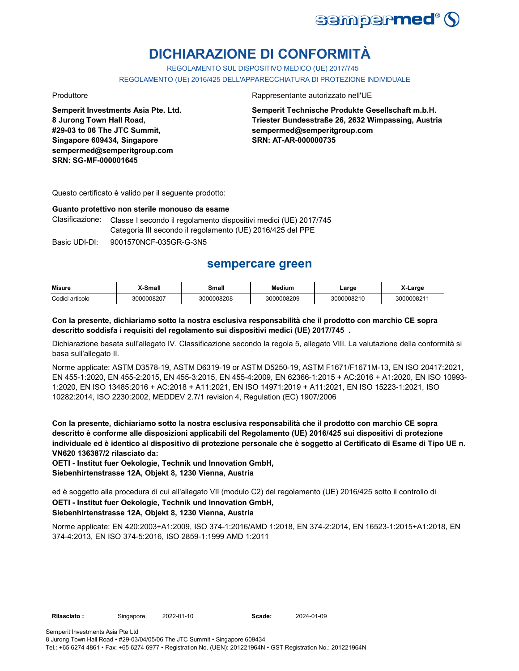

# **DICHIARAZIONE DI CONFORMITÀ**

REGOLAMENTO SUL DISPOSITIVO MEDICO (UE) 2017/745 REGOLAMENTO (UE) 2016/425 DELL'APPARECCHIATURA DI PROTEZIONE INDIVIDUALE

**Semperit Investments Asia Pte. Ltd. 8 Jurong Town Hall Road, #29-03 to 06 The JTC Summit, Singapore 609434, Singapore sempermed@semperitgroup.com SRN: SG-MF-000001645**

Produttore Rappresentante autorizzato nell'UE

**Semperit Technische Produkte Gesellschaft m.b.H. Triester Bundesstraße 26, 2632 Wimpassing, Austria sempermed@semperitgroup.com SRN: AT-AR-000000735**

Questo certificato è valido per il seguente prodotto:

#### **Guanto protettivo non sterile monouso da esame**

Clasificazione: Classe I secondo il regolamento dispositivi medici (UE) 2017/745 Categoria III secondo il regolamento (UE) 2016/425 del PPE

Basic UDI-DI: 9001570NCF-035GR-G-3N5 9001570NCF-035GR-G-3

## **sempercare green**

| <b>Misure</b>   | X-Small    | Small      | <b>Medium</b> | ∟arge      | -Larɑe    |
|-----------------|------------|------------|---------------|------------|-----------|
| Codici articolo | 3000008207 | 3000008208 | 3000008209    | 3000008210 | 300000821 |

#### **Con la presente, dichiariamo sotto la nostra esclusiva responsabilità che il prodotto con marchio CE sopra descritto soddisfa i requisiti del regolamento sui dispositivi medici (UE) 2017/745 .**

Dichiarazione basata sull'allegato IV. Classificazione secondo la regola 5, allegato VIII. La valutazione della conformità si basa sull'allegato II.

Norme applicate: ASTM D3578-19, ASTM D6319-19 or ASTM D5250-19, ASTM F1671/F1671M-13, EN ISO 20417:2021, EN 455-1:2020, EN 455-2:2015, EN 455-3:2015, EN 455-4:2009, EN 62366-1:2015 + AC:2016 + A1:2020, EN ISO 10993- 1:2020, EN ISO 13485:2016 + AC:2018 + A11:2021, EN ISO 14971:2019 + A11:2021, EN ISO 15223-1:2021, ISO 10282:2014, ISO 2230:2002, MEDDEV 2.7/1 revision 4, Regulation (EC) 1907/2006

**Con la presente, dichiariamo sotto la nostra esclusiva responsabilità che il prodotto con marchio CE sopra descritto è conforme alle disposizioni applicabili del Regolamento (UE) 2016/425 sui dispositivi di protezione individuale ed è identico al dispositivo di protezione personale che è soggetto al Certificato di Esame di Tipo UE n. VN620 136387/2 rilasciato da:**

**OETI - Institut fuer Oekologie, Technik und Innovation GmbH, Siebenhirtenstrasse 12A, Objekt 8, 1230 Vienna, Austria**

ed è soggetto alla procedura di cui all'allegato VII (modulo C2) del regolamento (UE) 2016/425 sotto il controllo di **OETI - Institut fuer Oekologie, Technik und Innovation GmbH,** 

# **Siebenhirtenstrasse 12A, Objekt 8, 1230 Vienna, Austria**

Norme applicate: EN 420:2003+A1:2009, ISO 374-1:2016/AMD 1:2018, EN 374-2:2014, EN 16523-1:2015+A1:2018, EN 374-4:2013, EN ISO 374-5:2016, ISO 2859-1:1999 AMD 1:2011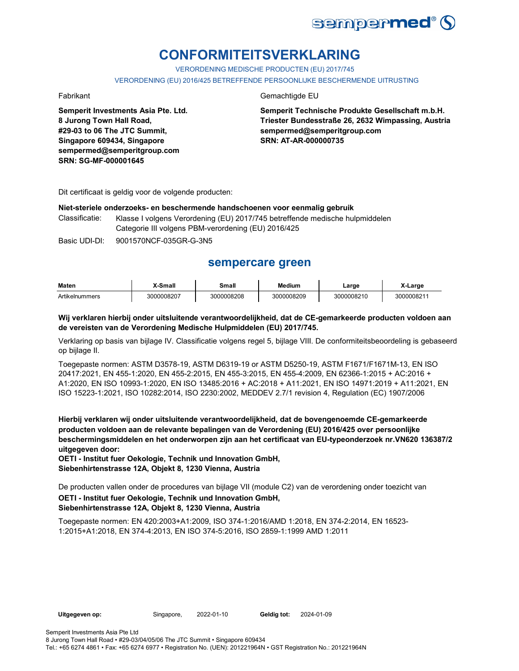

# **CONFORMITEITSVERKLARING**

VERORDENING MEDISCHE PRODUCTEN (EU) 2017/745

VERORDENING (EU) 2016/425 BETREFFENDE PERSOONLIJKE BESCHERMENDE UITRUSTING

**Semperit Investments Asia Pte. Ltd. 8 Jurong Town Hall Road, #29-03 to 06 The JTC Summit, Singapore 609434, Singapore sempermed@semperitgroup.com SRN: SG-MF-000001645**

#### Fabrikant Gemachtigde EU

**Semperit Technische Produkte Gesellschaft m.b.H. Triester Bundesstraße 26, 2632 Wimpassing, Austria sempermed@semperitgroup.com SRN: AT-AR-000000735**

Dit certificaat is geldig voor de volgende producten:

#### **Niet-steriele onderzoeks- en beschermende handschoenen voor eenmalig gebruik**

Classificatie: Klasse I volgens Verordening (EU) 2017/745 betreffende medische hulpmiddelen Categorie III volgens PBM-verordening (EU) 2016/425

Basic UDI-DI: 9001570NCF-035GR-G-3N5

## **sempercare green**

| Maten          | <sup>™</sup> Small | <b>3mall</b> | <b>Medium</b> | ∟arge      | . .<br>_arɑɾ |
|----------------|--------------------|--------------|---------------|------------|--------------|
| Artikelnummers | 3000008207         | 3000008208   | 3000008209    | 3000008210 | 300000821    |

**Wij verklaren hierbij onder uitsluitende verantwoordelijkheid, dat de CE-gemarkeerde producten voldoen aan de vereisten van de Verordening Medische Hulpmiddelen (EU) 2017/745.**

Verklaring op basis van bijlage IV. Classificatie volgens regel 5, bijlage VIII. De conformiteitsbeoordeling is gebaseerd op bijlage II.

Toegepaste normen: ASTM D3578-19, ASTM D6319-19 or ASTM D5250-19, ASTM F1671/F1671M-13, EN ISO 20417:2021, EN 455-1:2020, EN 455-2:2015, EN 455-3:2015, EN 455-4:2009, EN 62366-1:2015 + AC:2016 + A1:2020, EN ISO 10993-1:2020, EN ISO 13485:2016 + AC:2018 + A11:2021, EN ISO 14971:2019 + A11:2021, EN ISO 15223-1:2021, ISO 10282:2014, ISO 2230:2002, MEDDEV 2.7/1 revision 4, Regulation (EC) 1907/2006

**Hierbij verklaren wij onder uitsluitende verantwoordelijkheid, dat de bovengenoemde CE-gemarkeerde producten voldoen aan de relevante bepalingen van de Verordening (EU) 2016/425 over persoonlijke beschermingsmiddelen en het onderworpen zijn aan het certificaat van EU-typeonderzoek nr.VN620 136387/2 uitgegeven door:**

**OETI - Institut fuer Oekologie, Technik und Innovation GmbH, Siebenhirtenstrasse 12A, Objekt 8, 1230 Vienna, Austria**

De producten vallen onder de procedures van bijlage VII (module C2) van de verordening onder toezicht van

#### **OETI - Institut fuer Oekologie, Technik und Innovation GmbH, Siebenhirtenstrasse 12A, Objekt 8, 1230 Vienna, Austria**

Toegepaste normen: EN 420:2003+A1:2009, ISO 374-1:2016/AMD 1:2018, EN 374-2:2014, EN 16523- 1:2015+A1:2018, EN 374-4:2013, EN ISO 374-5:2016, ISO 2859-1:1999 AMD 1:2011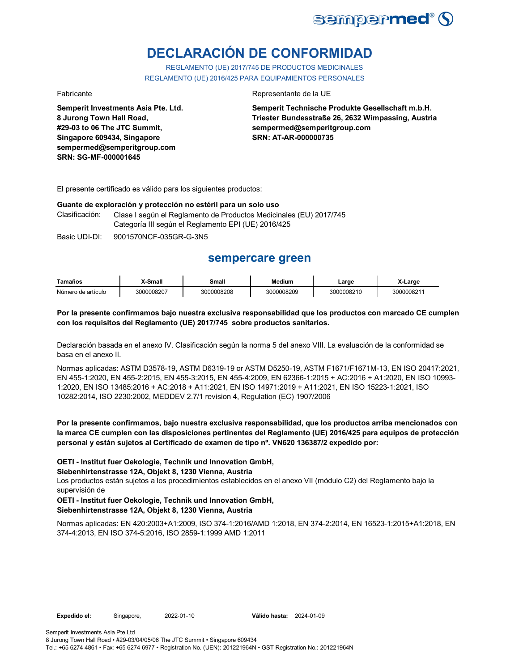

# **DECLARACIÓN DE CONFORMIDAD**

REGLAMENTO (UE) 2017/745 DE PRODUCTOS MEDICINALES REGLAMENTO (UE) 2016/425 PARA EQUIPAMIENTOS PERSONALES

**Semperit Investments Asia Pte. Ltd. 8 Jurong Town Hall Road, #29-03 to 06 The JTC Summit, Singapore 609434, Singapore sempermed@semperitgroup.com SRN: SG-MF-000001645**

#### Fabricante Representante de la UE

**Semperit Technische Produkte Gesellschaft m.b.H. Triester Bundesstraße 26, 2632 Wimpassing, Austria sempermed@semperitgroup.com SRN: AT-AR-000000735**

El presente certificado es válido para los siguientes productos:

#### **Guante de exploración y protección no estéril para un solo uso**

Clasificación: Clase I según el Reglamento de Productos Medicinales (EU) 2017/745 Categoría III según el Reglamento EPI (UE) 2016/425

Basic UDI-DI: 9001570NCF-035GR-G-3N5

## **sempercare green**

| Tamaños            | X-Small    | Small      | Medium     | Large      | X-Larɑe   |
|--------------------|------------|------------|------------|------------|-----------|
| Número de artículo | 3000008207 | 3000008208 | 3000008209 | 3000008210 | 300000821 |

#### **Por la presente confirmamos bajo nuestra exclusiva responsabilidad que los productos con marcado CE cumplen con los requisitos del Reglamento (UE) 2017/745 sobre productos sanitarios.**

Declaración basada en el anexo IV. Clasificación según la norma 5 del anexo VIII. La evaluación de la conformidad se basa en el anexo II.

Normas aplicadas: ASTM D3578-19, ASTM D6319-19 or ASTM D5250-19, ASTM F1671/F1671M-13, EN ISO 20417:2021, EN 455-1:2020, EN 455-2:2015, EN 455-3:2015, EN 455-4:2009, EN 62366-1:2015 + AC:2016 + A1:2020, EN ISO 10993- 1:2020, EN ISO 13485:2016 + AC:2018 + A11:2021, EN ISO 14971:2019 + A11:2021, EN ISO 15223-1:2021, ISO 10282:2014, ISO 2230:2002, MEDDEV 2.7/1 revision 4, Regulation (EC) 1907/2006

#### **Por la presente confirmamos, bajo nuestra exclusiva responsabilidad, que los productos arriba mencionados con la marca CE cumplen con las disposiciones pertinentes del Reglamento (UE) 2016/425 para equipos de protección personal y están sujetos al Certificado de examen de tipo nº. VN620 136387/2 expedido por:**

#### **OETI - Institut fuer Oekologie, Technik und Innovation GmbH,**

**Siebenhirtenstrasse 12A, Objekt 8, 1230 Vienna, Austria**

Los productos están sujetos a los procedimientos establecidos en el anexo VII (módulo C2) del Reglamento bajo la supervisión de

#### **OETI - Institut fuer Oekologie, Technik und Innovation GmbH, Siebenhirtenstrasse 12A, Objekt 8, 1230 Vienna, Austria**

Normas aplicadas: EN 420:2003+A1:2009, ISO 374-1:2016/AMD 1:2018, EN 374-2:2014, EN 16523-1:2015+A1:2018, EN 374-4:2013, EN ISO 374-5:2016, ISO 2859-1:1999 AMD 1:2011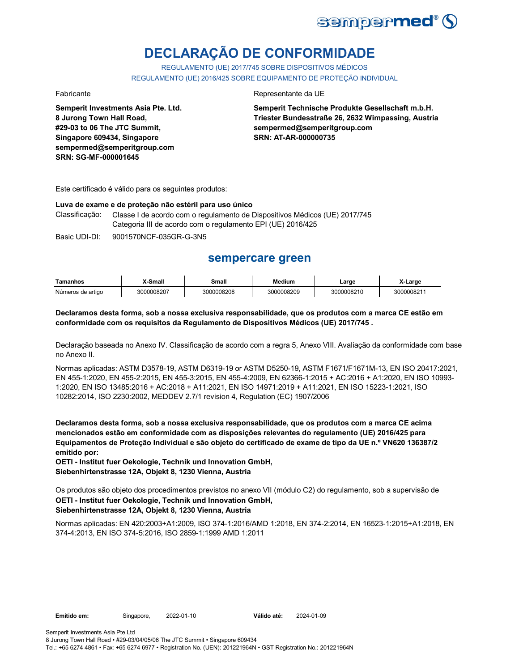

# **DECLARAÇÃO DE CONFORMIDADE**

REGULAMENTO (UE) 2017/745 SOBRE DISPOSITIVOS MÉDICOS REGULAMENTO (UE) 2016/425 SOBRE EQUIPAMENTO DE PROTEÇÃO INDIVIDUAL

**Semperit Investments Asia Pte. Ltd. 8 Jurong Town Hall Road, #29-03 to 06 The JTC Summit, Singapore 609434, Singapore sempermed@semperitgroup.com SRN: SG-MF-000001645**

#### Fabricante da UE

**Semperit Technische Produkte Gesellschaft m.b.H. Triester Bundesstraße 26, 2632 Wimpassing, Austria sempermed@semperitgroup.com SRN: AT-AR-000000735**

Este certificado é válido para os seguintes produtos:

#### **Luva de exame e de proteção não estéril para uso único**

Classificação: Classe I de acordo com o regulamento de Dispositivos Médicos (UE) 2017/745 Categoria III de acordo com o regulamento EPI (UE) 2016/425

Basic UDI-DI: 9001570NCF-035GR-G-3N5

## **sempercare green**

| Tamanhos          | X-Small    | Small      | Medium     | _arge      | .-Larɑe   |
|-------------------|------------|------------|------------|------------|-----------|
| Números de artigo | 3000008207 | 3000008208 | 3000008209 | 3000008210 | 300000821 |

#### **Declaramos desta forma, sob a nossa exclusiva responsabilidade, que os produtos com a marca CE estão em conformidade com os requisitos da Regulamento de Dispositivos Médicos (UE) 2017/745 .**

Declaração baseada no Anexo IV. Classificação de acordo com a regra 5, Anexo VIII. Avaliação da conformidade com base no Anexo II.

Normas aplicadas: ASTM D3578-19, ASTM D6319-19 or ASTM D5250-19, ASTM F1671/F1671M-13, EN ISO 20417:2021, EN 455-1:2020, EN 455-2:2015, EN 455-3:2015, EN 455-4:2009, EN 62366-1:2015 + AC:2016 + A1:2020, EN ISO 10993- 1:2020, EN ISO 13485:2016 + AC:2018 + A11:2021, EN ISO 14971:2019 + A11:2021, EN ISO 15223-1:2021, ISO 10282:2014, ISO 2230:2002, MEDDEV 2.7/1 revision 4, Regulation (EC) 1907/2006

**Declaramos desta forma, sob a nossa exclusiva responsabilidade, que os produtos com a marca CE acima mencionados estão em conformidade com as disposições relevantes do regulamento (UE) 2016/425 para Equipamentos de Proteção Individual e são objeto do certificado de exame de tipo da UE n.º VN620 136387/2 emitido por:**

**OETI - Institut fuer Oekologie, Technik und Innovation GmbH, Siebenhirtenstrasse 12A, Objekt 8, 1230 Vienna, Austria**

Os produtos são objeto dos procedimentos previstos no anexo VII (módulo C2) do regulamento, sob a supervisão de **OETI - Institut fuer Oekologie, Technik und Innovation GmbH, Siebenhirtenstrasse 12A, Objekt 8, 1230 Vienna, Austria**

Normas aplicadas: EN 420:2003+A1:2009, ISO 374-1:2016/AMD 1:2018, EN 374-2:2014, EN 16523-1:2015+A1:2018, EN 374-4:2013, EN ISO 374-5:2016, ISO 2859-1:1999 AMD 1:2011

Semperit Investments Asia Pte Ltd

8 Jurong Town Hall Road • #29-03/04/05/06 The JTC Summit • Singapore 609434

Tel.: +65 6274 4861 • Fax: +65 6274 6977 • Registration No. (UEN): 201221964N • GST Registration No.: 201221964N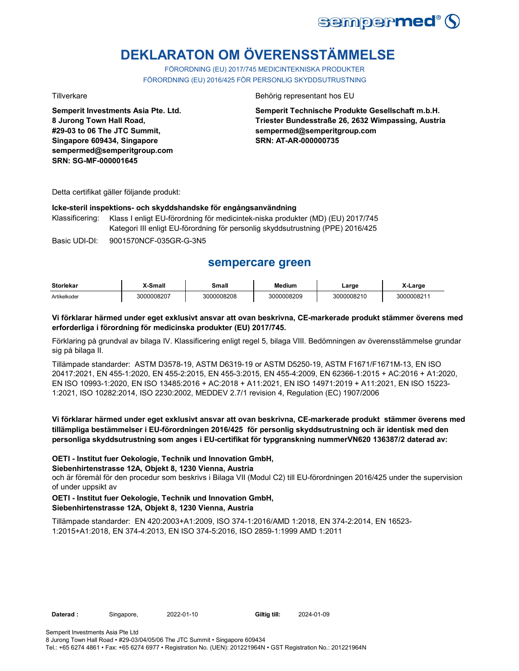

# **DEKLARATON OM ÖVERENSSTÄMMELSE**

FÖRORDNING (EU) 2017/745 MEDICINTEKNISKA PRODUKTER FÖRORDNING (EU) 2016/425 FÖR PERSONLIG SKYDDSUTRUSTNING

**Semperit Investments Asia Pte. Ltd. 8 Jurong Town Hall Road, #29-03 to 06 The JTC Summit, Singapore 609434, Singapore sempermed@semperitgroup.com SRN: SG-MF-000001645**

#### Tillverkare **Behörig representant hos EU**

**Semperit Technische Produkte Gesellschaft m.b.H. Triester Bundesstraße 26, 2632 Wimpassing, Austria sempermed@semperitgroup.com SRN: AT-AR-000000735**

Detta certifikat gäller följande produkt:

#### **Icke-steril inspektions- och skyddshandske för engångsanvändning**

Klassificering: Klass I enligt EU-förordning för medicintek-niska produkter (MD) (EU) 2017/745 Kategori III enligt EU-förordning för personlig skyddsutrustning (PPE) 2016/425

Basic UDI-DI: 9001570NCF-035GR-G-3N5

## **sempercare green**

| <b>Storlekar</b> | -Small     | Small<br>______  | <b>Medium</b> | ∟arge      | (-Large   |
|------------------|------------|------------------|---------------|------------|-----------|
| Artikelkoder     | 3000008207 | 00008208<br>.30C | 3000008209    | 3000008210 | 300000821 |

#### **Vi förklarar härmed under eget exklusivt ansvar att ovan beskrivna, CE-markerade produkt stämmer överens med erforderliga i förordning för medicinska produkter (EU) 2017/745.**

Förklaring på grundval av bilaga IV. Klassificering enligt regel 5, bilaga VIII. Bedömningen av överensstämmelse grundar sig på bilaga II.

Tillämpade standarder: ASTM D3578-19, ASTM D6319-19 or ASTM D5250-19, ASTM F1671/F1671M-13, EN ISO 20417:2021, EN 455-1:2020, EN 455-2:2015, EN 455-3:2015, EN 455-4:2009, EN 62366-1:2015 + AC:2016 + A1:2020, EN ISO 10993-1:2020, EN ISO 13485:2016 + AC:2018 + A11:2021, EN ISO 14971:2019 + A11:2021, EN ISO 15223- 1:2021, ISO 10282:2014, ISO 2230:2002, MEDDEV 2.7/1 revision 4, Regulation (EC) 1907/2006

### **Vi förklarar härmed under eget exklusivt ansvar att ovan beskrivna, CE-markerade produkt stämmer överens med tillämpliga bestämmelser i EU-förordningen 2016/425 för personlig skyddsutrustning och är identisk med den personliga skyddsutrustning som anges i EU-certifikat för typgranskning nummerVN620 136387/2 daterad av:**

#### **OETI - Institut fuer Oekologie, Technik und Innovation GmbH,**

#### **Siebenhirtenstrasse 12A, Objekt 8, 1230 Vienna, Austria**

och är föremål för den procedur som beskrivs i Bilaga VII (Modul C2) till EU-förordningen 2016/425 under the supervision of under uppsikt av

#### **OETI - Institut fuer Oekologie, Technik und Innovation GmbH, Siebenhirtenstrasse 12A, Objekt 8, 1230 Vienna, Austria**

Tillämpade standarder: EN 420:2003+A1:2009, ISO 374-1:2016/AMD 1:2018, EN 374-2:2014, EN 16523- 1:2015+A1:2018, EN 374-4:2013, EN ISO 374-5:2016, ISO 2859-1:1999 AMD 1:2011

Daterad : Singapore, 2022-01-10 Giltig till:

2024-01-09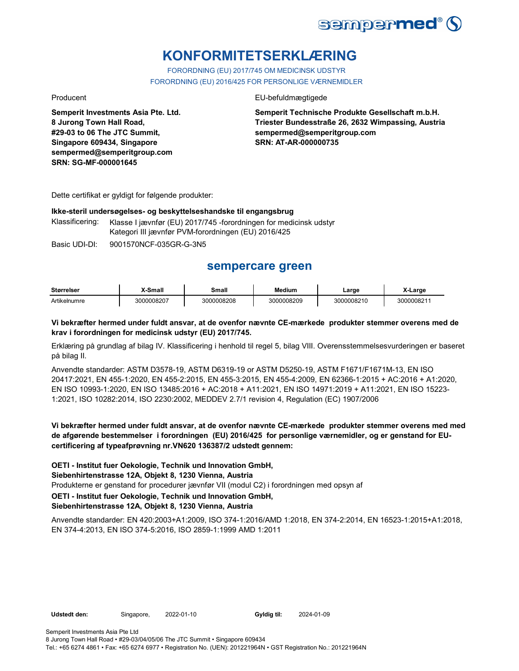

# **KONFORMITETSERKLÆRING**

FORORDNING (EU) 2017/745 OM MEDICINSK UDSTYR FORORDNING (EU) 2016/425 FOR PERSONLIGE VÆRNEMIDLER

**Semperit Investments Asia Pte. Ltd. 8 Jurong Town Hall Road, #29-03 to 06 The JTC Summit, Singapore 609434, Singapore sempermed@semperitgroup.com SRN: SG-MF-000001645**

#### Producent **EU-befuldmægtigede**

**Semperit Technische Produkte Gesellschaft m.b.H. Triester Bundesstraße 26, 2632 Wimpassing, Austria sempermed@semperitgroup.com SRN: AT-AR-000000735**

Dette certifikat er gyldigt for følgende produkter:

#### **Ikke-steril undersøgelses- og beskyttelseshandske til engangsbrug**

Klassificering: Klasse I jævnfør (EU) 2017/745 -forordningen for medicinsk udstyr Kategori III jævnfør PVM-forordningen (EU) 2016/425

Basic UDI-DI: 9001570NCF-035GR-G-3N5

## **sempercare green**

| <b>Størrelser</b> | X-Small    | Small      | <b>Medium</b> | Large      | X-Large                |
|-------------------|------------|------------|---------------|------------|------------------------|
| Artikelnumre      | 3000008207 | 3000008208 | 3000008209    | 3000008210 | 300000821 <sup>-</sup> |

#### **Vi bekræfter hermed under fuldt ansvar, at de ovenfor nævnte CE-mærkede produkter stemmer overens med de krav i forordningen for medicinsk udstyr (EU) 2017/745.**

Erklæring på grundlag af bilag IV. Klassificering i henhold til regel 5, bilag VIII. Overensstemmelsesvurderingen er baseret på bilag II.

Anvendte standarder: ASTM D3578-19, ASTM D6319-19 or ASTM D5250-19, ASTM F1671/F1671M-13, EN ISO 20417:2021, EN 455-1:2020, EN 455-2:2015, EN 455-3:2015, EN 455-4:2009, EN 62366-1:2015 + AC:2016 + A1:2020, EN ISO 10993-1:2020, EN ISO 13485:2016 + AC:2018 + A11:2021, EN ISO 14971:2019 + A11:2021, EN ISO 15223- 1:2021, ISO 10282:2014, ISO 2230:2002, MEDDEV 2.7/1 revision 4, Regulation (EC) 1907/2006

**Vi bekræfter hermed under fuldt ansvar, at de ovenfor nævnte CE-mærkede produkter stemmer overens med med de afgørende bestemmelser i forordningen (EU) 2016/425 for personlige værnemidler, og er genstand for EUcertificering af typeafprøvning nr.VN620 136387/2 udstedt gennem:**

**OETI - Institut fuer Oekologie, Technik und Innovation GmbH,** 

**Siebenhirtenstrasse 12A, Objekt 8, 1230 Vienna, Austria**

Produkterne er genstand for procedurer jævnfør VII (modul C2) i forordningen med opsyn af

**OETI - Institut fuer Oekologie, Technik und Innovation GmbH,** 

### **Siebenhirtenstrasse 12A, Objekt 8, 1230 Vienna, Austria**

Anvendte standarder: EN 420:2003+A1:2009, ISO 374-1:2016/AMD 1:2018, EN 374-2:2014, EN 16523-1:2015+A1:2018, EN 374-4:2013, EN ISO 374-5:2016, ISO 2859-1:1999 AMD 1:2011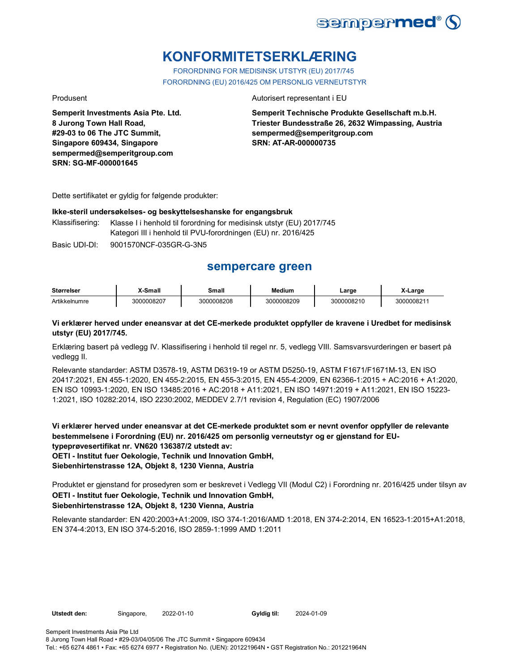

# **KONFORMITETSERKLÆRING**

FORORDNING FOR MEDISINSK UTSTYR (EU) 2017/745 FORORDNING (EU) 2016/425 OM PERSONLIG VERNEUTSTYR

**Semperit Investments Asia Pte. Ltd. 8 Jurong Town Hall Road, #29-03 to 06 The JTC Summit, Singapore 609434, Singapore sempermed@semperitgroup.com SRN: SG-MF-000001645**

#### Produsent **Autorisert representant i EU**

**Semperit Technische Produkte Gesellschaft m.b.H. Triester Bundesstraße 26, 2632 Wimpassing, Austria sempermed@semperitgroup.com SRN: AT-AR-000000735**

Dette sertifikatet er gyldig for følgende produkter:

#### **Ikke-steril undersøkelses- og beskyttelseshanske for engangsbruk**

Klassifisering: Klasse I i henhold til forordning for medisinsk utstyr (EU) 2017/745 Kategori III i henhold til PVU-forordningen (EU) nr. 2016/425

Basic UDI-DI: 9001570NCF-035GR-G-3N5

## **sempercare green**

| <b>Størrelser</b> | <b>X-Small</b> | Small      | Medium     | Large      | X-Large   |
|-------------------|----------------|------------|------------|------------|-----------|
| Artikkelnumre     | 3000008207     | 3000008208 | 3000008209 | 3000008210 | 300000821 |

#### **Vi erklærer herved under eneansvar at det CE-merkede produktet oppfyller de kravene i Uredbet for medisinsk utstyr (EU) 2017/745.**

Erklæring basert på vedlegg IV. Klassifisering i henhold til regel nr. 5, vedlegg VIII. Samsvarsvurderingen er basert på vedlegg II.

Relevante standarder: ASTM D3578-19, ASTM D6319-19 or ASTM D5250-19, ASTM F1671/F1671M-13, EN ISO 20417:2021, EN 455-1:2020, EN 455-2:2015, EN 455-3:2015, EN 455-4:2009, EN 62366-1:2015 + AC:2016 + A1:2020, EN ISO 10993-1:2020, EN ISO 13485:2016 + AC:2018 + A11:2021, EN ISO 14971:2019 + A11:2021, EN ISO 15223- 1:2021, ISO 10282:2014, ISO 2230:2002, MEDDEV 2.7/1 revision 4, Regulation (EC) 1907/2006

**Vi erklærer herved under eneansvar at det CE-merkede produktet som er nevnt ovenfor oppfyller de relevante bestemmelsene i Forordning (EU) nr. 2016/425 om personlig verneutstyr og er gjenstand for EUtypeprøvesertifikat nr. VN620 136387/2 utstedt av: OETI - Institut fuer Oekologie, Technik und Innovation GmbH, Siebenhirtenstrasse 12A, Objekt 8, 1230 Vienna, Austria**

Produktet er gjenstand for prosedyren som er beskrevet i Vedlegg VII (Modul C2) i Forordning nr. 2016/425 under tilsyn av **OETI - Institut fuer Oekologie, Technik und Innovation GmbH, Siebenhirtenstrasse 12A, Objekt 8, 1230 Vienna, Austria**

Relevante standarder: EN 420:2003+A1:2009, ISO 374-1:2016/AMD 1:2018, EN 374-2:2014, EN 16523-1:2015+A1:2018, EN 374-4:2013, EN ISO 374-5:2016, ISO 2859-1:1999 AMD 1:2011

**Utstedt den:** Singapore, 2022-01-10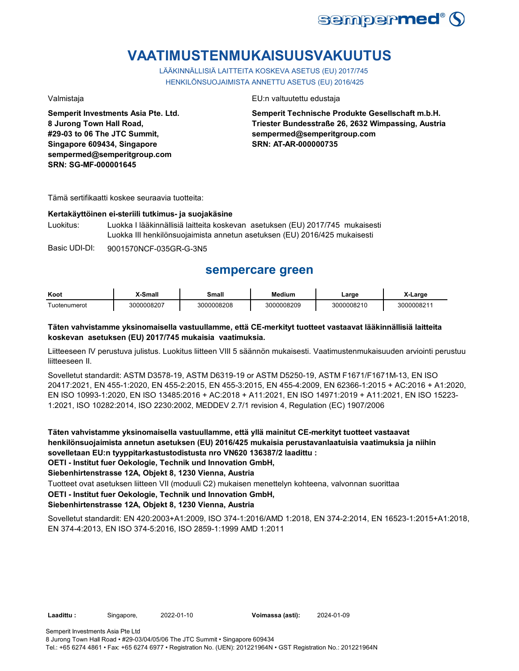

# **VAATIMUSTENMUKAISUUSVAKUUTUS**

LÄÄKINNÄLLISIÄ LAITTEITA KOSKEVA ASETUS (EU) 2017/745 HENKILÖNSUOJAIMISTA ANNETTU ASETUS (EU) 2016/425

**Semperit Investments Asia Pte. Ltd. 8 Jurong Town Hall Road, #29-03 to 06 The JTC Summit, Singapore 609434, Singapore sempermed@semperitgroup.com SRN: SG-MF-000001645**

Valmistaja EU:n valtuutettu edustaja

**Semperit Technische Produkte Gesellschaft m.b.H. Triester Bundesstraße 26, 2632 Wimpassing, Austria sempermed@semperitgroup.com SRN: AT-AR-000000735**

Tämä sertifikaatti koskee seuraavia tuotteita:

#### **Kertakäyttöinen ei-steriili tutkimus- ja suojakäsine**

Luokitus: Luokka I lääkinnällisiä laitteita koskevan asetuksen (EU) 2017/745 mukaisesti Luokka III henkilönsuojaimista annetun asetuksen (EU) 2016/425 mukaisesti

Basic UDI-DI: 9001570NCF-035GR-G-3N5

## **sempercare green**

| Koot              | $M$ Small<br>nar | Small      | <b>Medium</b> | ∟arge          | Large     |
|-------------------|------------------|------------|---------------|----------------|-----------|
| -<br>Tuotenumerot | 0008207<br>וחהד  | 3000008208 | 0008209<br>v  | 0008210<br>וחה | 300000821 |

### **Täten vahvistamme yksinomaisella vastuullamme, että CE-merkityt tuotteet vastaavat lääkinnällisiä laitteita koskevan asetuksen (EU) 2017/745 mukaisia vaatimuksia.**

Liitteeseen IV perustuva julistus. Luokitus liitteen VIII 5 säännön mukaisesti. Vaatimustenmukaisuuden arviointi perustuu liitteeseen II.

Sovelletut standardit: ASTM D3578-19, ASTM D6319-19 or ASTM D5250-19, ASTM F1671/F1671M-13, EN ISO 20417:2021, EN 455-1:2020, EN 455-2:2015, EN 455-3:2015, EN 455-4:2009, EN 62366-1:2015 + AC:2016 + A1:2020, EN ISO 10993-1:2020, EN ISO 13485:2016 + AC:2018 + A11:2021, EN ISO 14971:2019 + A11:2021, EN ISO 15223- 1:2021, ISO 10282:2014, ISO 2230:2002, MEDDEV 2.7/1 revision 4, Regulation (EC) 1907/2006

**Täten vahvistamme yksinomaisella vastuullamme, että yllä mainitut CE-merkityt tuotteet vastaavat henkilönsuojaimista annetun asetuksen (EU) 2016/425 mukaisia perustavanlaatuisia vaatimuksia ja niihin sovelletaan EU:n tyyppitarkastustodistusta nro VN620 136387/2 laadittu :**

**OETI - Institut fuer Oekologie, Technik und Innovation GmbH,** 

**Siebenhirtenstrasse 12A, Objekt 8, 1230 Vienna, Austria**

Tuotteet ovat asetuksen liitteen VII (moduuli C2) mukaisen menettelyn kohteena, valvonnan suorittaa

**OETI - Institut fuer Oekologie, Technik und Innovation GmbH,** 

#### **Siebenhirtenstrasse 12A, Objekt 8, 1230 Vienna, Austria**

Sovelletut standardit: EN 420:2003+A1:2009, ISO 374-1:2016/AMD 1:2018, EN 374-2:2014, EN 16523-1:2015+A1:2018, EN 374-4:2013, EN ISO 374-5:2016, ISO 2859-1:1999 AMD 1:2011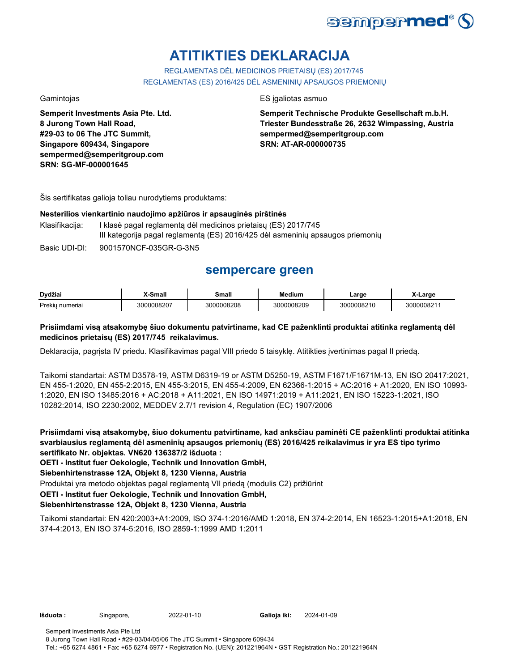

# **ATITIKTIES DEKLARACIJA**

REGLAMENTAS DĖL MEDICINOS PRIETAISŲ (ES) 2017/745 REGLAMENTAS (ES) 2016/425 DĖL ASMENINIŲ APSAUGOS PRIEMONIŲ

**Semperit Investments Asia Pte. Ltd. 8 Jurong Town Hall Road, #29-03 to 06 The JTC Summit, Singapore 609434, Singapore sempermed@semperitgroup.com SRN: SG-MF-000001645**

#### Gamintojas **ES interviewes ES interviewes** ES interviewes as estas estas estas estas estas estas estas estas estas estas estas estas estas estas estas estas estas estas estas estas estas estas estas estas estas estas estas

**Semperit Technische Produkte Gesellschaft m.b.H. Triester Bundesstraße 26, 2632 Wimpassing, Austria sempermed@semperitgroup.com SRN: AT-AR-000000735**

Šis sertifikatas galioja toliau nurodytiems produktams:

#### **Nesterilios vienkartinio naudojimo apžiūros ir apsauginės pirštinės**

Klasifikacija: I klasė pagal reglamentą dėl medicinos prietaisų (ES) 2017/745 III kategorija pagal reglamentą (ES) 2016/425 dėl asmeninių apsaugos priemonių

Basic UDI-DI: 9001570NCF-035GR-G-3N5

# **sempercare green**

| Dvdžiai            | <sup>v</sup> -Small | Small<br>____ | Medium     | .arge      | Large     |
|--------------------|---------------------|---------------|------------|------------|-----------|
| Prekiu<br>numeriai | 3000008207          | 3000008208    | 3000008209 | 3000008210 | 300000821 |

### **Prisiimdami visą atsakomybę šiuo dokumentu patvirtiname, kad CE paženklinti produktai atitinka reglamentą dėl medicinos prietaisų (ES) 2017/745 reikalavimus.**

Deklaracija, pagrįsta IV priedu. Klasifikavimas pagal VIII priedo 5 taisyklę. Atitikties įvertinimas pagal II priedą.

Taikomi standartai: ASTM D3578-19, ASTM D6319-19 or ASTM D5250-19, ASTM F1671/F1671M-13, EN ISO 20417:2021, EN 455-1:2020, EN 455-2:2015, EN 455-3:2015, EN 455-4:2009, EN 62366-1:2015 + AC:2016 + A1:2020, EN ISO 10993- 1:2020, EN ISO 13485:2016 + AC:2018 + A11:2021, EN ISO 14971:2019 + A11:2021, EN ISO 15223-1:2021, ISO 10282:2014, ISO 2230:2002, MEDDEV 2.7/1 revision 4, Regulation (EC) 1907/2006

**Prisiimdami visą atsakomybę, šiuo dokumentu patvirtiname, kad anksčiau paminėti CE paženklinti produktai atitinka svarbiausius reglamentą dėl asmeninių apsaugos priemonių (ES) 2016/425 reikalavimus ir yra ES tipo tyrimo sertifikato Nr. objektas. VN620 136387/2 išduota :**

**OETI - Institut fuer Oekologie, Technik und Innovation GmbH,** 

**Siebenhirtenstrasse 12A, Objekt 8, 1230 Vienna, Austria**

Produktai yra metodo objektas pagal reglamentą VII priedą (modulis C2) prižiūrint

**OETI - Institut fuer Oekologie, Technik und Innovation GmbH,** 

#### **Siebenhirtenstrasse 12A, Objekt 8, 1230 Vienna, Austria**

Taikomi standartai: EN 420:2003+A1:2009, ISO 374-1:2016/AMD 1:2018, EN 374-2:2014, EN 16523-1:2015+A1:2018, EN 374-4:2013, EN ISO 374-5:2016, ISO 2859-1:1999 AMD 1:2011

**Išduota :** Singapore, 2022-01-10

Galioja iki: 2024-01-09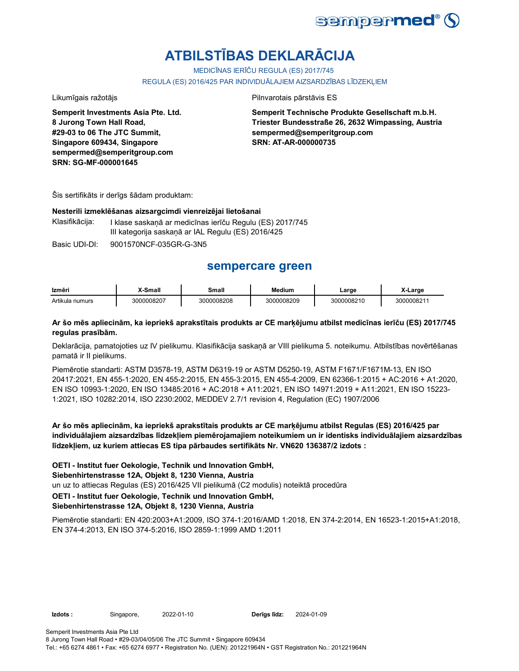

# **ATBILSTĪBAS DEKLARĀCIJA**

MEDICĪNAS IERĪČU REGULA (ES) 2017/745

REGULA (ES) 2016/425 PAR INDIVIDUĀLAJIEM AIZSARDZĪBAS LĪDZEKĻIEM

**Semperit Investments Asia Pte. Ltd. 8 Jurong Town Hall Road, #29-03 to 06 The JTC Summit, Singapore 609434, Singapore sempermed@semperitgroup.com SRN: SG-MF-000001645**

Likumīgais ražotājs **Pilnvarotais pārstāvis ES** 

**Semperit Technische Produkte Gesellschaft m.b.H. Triester Bundesstraße 26, 2632 Wimpassing, Austria sempermed@semperitgroup.com SRN: AT-AR-000000735**

Šis sertifikāts ir derīgs šādam produktam:

#### **Nesterili izmeklēšanas aizsargcimdi vienreizējai lietošanai**

Klasifikācija: I klase saskaņā ar medicīnas ierīču Regulu (ES) 2017/745 III kategorija saskaņā ar IAL Regulu (ES) 2016/425

Basic UDI-DI: 9001570NCF-035GR-G-3N5

## **sempercare green**

| Izmēri          | ,X-Small   | Small      | <b>Medium</b> | ∟arge      | -Large     |
|-----------------|------------|------------|---------------|------------|------------|
| Artikula numurs | 3000008207 | 3000008208 | 3000008209    | 3000008210 | 3000008211 |

#### **Ar šo mēs apliecinām, ka iepriekš aprakstītais produkts ar CE marķējumu atbilst medicīnas ierīču (ES) 2017/745 regulas prasībām.**

Deklarācija, pamatojoties uz IV pielikumu. Klasifikācija saskaņā ar VIII pielikuma 5. noteikumu. Atbilstības novērtēšanas pamatā ir II pielikums.

Piemērotie standarti: ASTM D3578-19, ASTM D6319-19 or ASTM D5250-19, ASTM F1671/F1671M-13, EN ISO 20417:2021, EN 455-1:2020, EN 455-2:2015, EN 455-3:2015, EN 455-4:2009, EN 62366-1:2015 + AC:2016 + A1:2020, EN ISO 10993-1:2020, EN ISO 13485:2016 + AC:2018 + A11:2021, EN ISO 14971:2019 + A11:2021, EN ISO 15223- 1:2021, ISO 10282:2014, ISO 2230:2002, MEDDEV 2.7/1 revision 4, Regulation (EC) 1907/2006

**Ar šo mēs apliecinām, ka iepriekš aprakstītais produkts ar CE marķējumu atbilst Regulas (ES) 2016/425 par individuālajiem aizsardzības līdzekļiem piemērojamajiem noteikumiem un ir identisks individuālajiem aizsardzības līdzekļiem, uz kuriem attiecas ES tipa pārbaudes sertifikāts Nr. VN620 136387/2 izdots :**

**OETI - Institut fuer Oekologie, Technik und Innovation GmbH,** 

**Siebenhirtenstrasse 12A, Objekt 8, 1230 Vienna, Austria**

un uz to attiecas Regulas (ES) 2016/425 VII pielikumā (C2 modulis) noteiktā procedūra

**OETI - Institut fuer Oekologie, Technik und Innovation GmbH,** 

### **Siebenhirtenstrasse 12A, Objekt 8, 1230 Vienna, Austria**

Piemērotie standarti: EN 420:2003+A1:2009, ISO 374-1:2016/AMD 1:2018, EN 374-2:2014, EN 16523-1:2015+A1:2018, EN 374-4:2013, EN ISO 374-5:2016, ISO 2859-1:1999 AMD 1:2011

**Izdots :** Singapore, 2022-01-10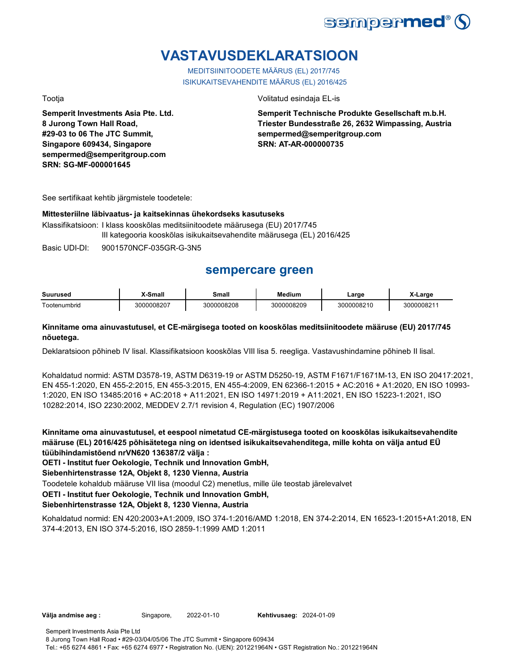

# **VASTAVUSDEKLARATSIOON**

MEDITSIINITOODETE MÄÄRUS (EL) 2017/745 ISIKUKAITSEVAHENDITE MÄÄRUS (EL) 2016/425

**Semperit Investments Asia Pte. Ltd. 8 Jurong Town Hall Road, #29-03 to 06 The JTC Summit, Singapore 609434, Singapore sempermed@semperitgroup.com SRN: SG-MF-000001645**

#### Tootja Volitatud esindaja EL-is

**Semperit Technische Produkte Gesellschaft m.b.H. Triester Bundesstraße 26, 2632 Wimpassing, Austria sempermed@semperitgroup.com SRN: AT-AR-000000735**

See sertifikaat kehtib järgmistele toodetele:

#### **Mittesteriilne läbivaatus- ja kaitsekinnas ühekordseks kasutuseks**

Klassifikatsioon: I klass kooskõlas meditsiinitoodete määrusega (EU) 2017/745 III kategooria kooskõlas isikukaitsevahendite määrusega (EL) 2016/425

Basic UDI-DI: 9001570NCF-035GR-G-3N5

# **sempercare green**

| Suurused     | X-Small  | Small      | edium      | _arɑe      | .arge     |
|--------------|----------|------------|------------|------------|-----------|
| Tootenumbrid | 00008207 | 3000008208 | 3000008209 | 3000008210 | 300000821 |

### **Kinnitame oma ainuvastutusel, et CE-märgisega tooted on kooskõlas meditsiinitoodete määruse (EU) 2017/745 nõuetega.**

Deklaratsioon põhineb IV lisal. Klassifikatsioon kooskõlas VIII lisa 5. reegliga. Vastavushindamine põhineb II lisal.

Kohaldatud normid: ASTM D3578-19, ASTM D6319-19 or ASTM D5250-19, ASTM F1671/F1671M-13, EN ISO 20417:2021, EN 455-1:2020, EN 455-2:2015, EN 455-3:2015, EN 455-4:2009, EN 62366-1:2015 + AC:2016 + A1:2020, EN ISO 10993- 1:2020, EN ISO 13485:2016 + AC:2018 + A11:2021, EN ISO 14971:2019 + A11:2021, EN ISO 15223-1:2021, ISO 10282:2014, ISO 2230:2002, MEDDEV 2.7/1 revision 4, Regulation (EC) 1907/2006

**Kinnitame oma ainuvastutusel, et eespool nimetatud CE-märgistusega tooted on kooskõlas isikukaitsevahendite määruse (EL) 2016/425 põhisätetega ning on identsed isikukaitsevahenditega, mille kohta on välja antud EÜ tüübihindamistõend nrVN620 136387/2 välja :**

**OETI - Institut fuer Oekologie, Technik und Innovation GmbH,** 

**Siebenhirtenstrasse 12A, Objekt 8, 1230 Vienna, Austria**

Toodetele kohaldub määruse VII lisa (moodul C2) menetlus, mille üle teostab järelevalvet

**OETI - Institut fuer Oekologie, Technik und Innovation GmbH,** 

### **Siebenhirtenstrasse 12A, Objekt 8, 1230 Vienna, Austria**

Kohaldatud normid: EN 420:2003+A1:2009, ISO 374-1:2016/AMD 1:2018, EN 374-2:2014, EN 16523-1:2015+A1:2018, EN 374-4:2013, EN ISO 374-5:2016, ISO 2859-1:1999 AMD 1:2011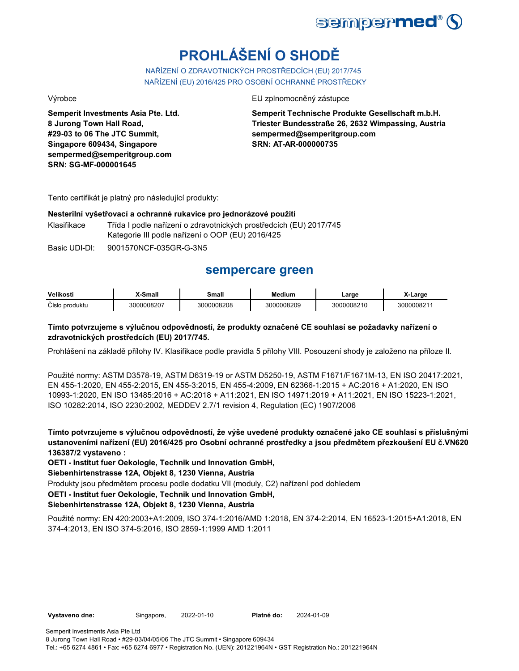

# **PROHLÁŠENÍ O SHODĚ**

NAŘÍZENÍ O ZDRAVOTNICKÝCH PROSTŘEDCÍCH (EU) 2017/745 NAŘÍZENÍ (EU) 2016/425 PRO OSOBNÍ OCHRANNÉ PROSTŘEDKY

**Semperit Investments Asia Pte. Ltd. 8 Jurong Town Hall Road, #29-03 to 06 The JTC Summit, Singapore 609434, Singapore sempermed@semperitgroup.com SRN: SG-MF-000001645**

#### Výrobce EU zplnomocněný zástupce EU zplnomocněný zástupce

**Semperit Technische Produkte Gesellschaft m.b.H. Triester Bundesstraße 26, 2632 Wimpassing, Austria sempermed@semperitgroup.com SRN: AT-AR-000000735**

Tento certifikát je platný pro následující produkty:

#### **Nesterilní vyšetřovací a ochranné rukavice pro jednorázové použití**

Klasifikace Třída I podle nařízení o zdravotnických prostředcích (EU) 2017/745 Kategorie III podle nařízení o OOP (EU) 2016/425

Basic UDI-DI: 9001570NCF-035GR-G-3N5

# **sempercare green**

| Velikosti          | -Small                  | <b>Small</b> | Medium    | ∟arɑe           | _arɑɾ     |
|--------------------|-------------------------|--------------|-----------|-----------------|-----------|
| Číslo<br>∍produktu | <b>0008207</b><br>וחחי. | 3000008208   | 000008209 | 0008210<br>וחהר | 300000821 |

### **Tímto potvrzujeme s výlučnou odpovědností, že produkty označené CE souhlasí se požadavky nařízení o zdravotnických prostředcích (EU) 2017/745.**

Prohlášení na základě přílohy IV. Klasifikace podle pravidla 5 přílohy VIII. Posouzení shody je založeno na příloze II.

Použité normy: ASTM D3578-19, ASTM D6319-19 or ASTM D5250-19, ASTM F1671/F1671M-13, EN ISO 20417:2021, EN 455-1:2020, EN 455-2:2015, EN 455-3:2015, EN 455-4:2009, EN 62366-1:2015 + AC:2016 + A1:2020, EN ISO 10993-1:2020, EN ISO 13485:2016 + AC:2018 + A11:2021, EN ISO 14971:2019 + A11:2021, EN ISO 15223-1:2021, ISO 10282:2014, ISO 2230:2002, MEDDEV 2.7/1 revision 4, Regulation (EC) 1907/2006

**Tímto potvrzujeme s výlučnou odpovědností, že výše uvedené produkty označené jako CE souhlasí s příslušnými ustanoveními nařízení (EU) 2016/425 pro Osobní ochranné prostředky a jsou předmětem přezkoušení EU č.VN620 136387/2 vystaveno :**

**OETI - Institut fuer Oekologie, Technik und Innovation GmbH,** 

**Siebenhirtenstrasse 12A, Objekt 8, 1230 Vienna, Austria**

Produkty jsou předmětem procesu podle dodatku VII (moduly, C2) nařízení pod dohledem

**OETI - Institut fuer Oekologie, Technik und Innovation GmbH,** 

#### **Siebenhirtenstrasse 12A, Objekt 8, 1230 Vienna, Austria**

Použité normy: EN 420:2003+A1:2009, ISO 374-1:2016/AMD 1:2018, EN 374-2:2014, EN 16523-1:2015+A1:2018, EN 374-4:2013, EN ISO 374-5:2016, ISO 2859-1:1999 AMD 1:2011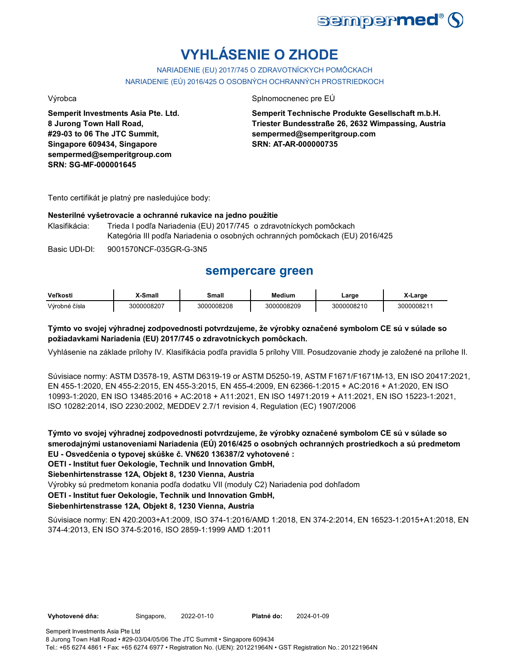

# **VYHLÁSENIE O ZHODE**

NARIADENIE (EU) 2017/745 O ZDRAVOTNÍCKYCH POMÔCKACH NARIADENIE (EÚ) 2016/425 O OSOBNÝCH OCHRANNÝCH PROSTRIEDKOCH

**Semperit Investments Asia Pte. Ltd. 8 Jurong Town Hall Road, #29-03 to 06 The JTC Summit, Singapore 609434, Singapore sempermed@semperitgroup.com SRN: SG-MF-000001645**

#### Výrobca Splnomocnenec pre EÚ

**Semperit Technische Produkte Gesellschaft m.b.H. Triester Bundesstraße 26, 2632 Wimpassing, Austria sempermed@semperitgroup.com SRN: AT-AR-000000735**

Tento certifikát je platný pre nasledujúce body:

### **Nesterilné vyšetrovacie a ochranné rukavice na jedno použitie**

Klasifikácia: Trieda I podľa Nariadenia (EU) 2017/745 o zdravotníckych pomôckach Kategória III podľa Nariadenia o osobných ochranných pomôckach (EU) 2016/425

Basic UDI-DI: 9001570NCF-035GR-G-3N5

# **sempercare green**

| Veľkost       | .Smal.<br>шаг | small           | edium    | .arge          | X-Large   |
|---------------|---------------|-----------------|----------|----------------|-----------|
| Výrobné čísla | 0008207       | 0008208<br>וו ז | 00008209 | 1008210<br>nnı | 300000821 |

### **Týmto vo svojej výhradnej zodpovednosti potvrdzujeme, že výrobky označené symbolom CE sú v súlade so požiadavkami Nariadenia (EU) 2017/745 o zdravotníckych pomôckach.**

Vyhlásenie na základe prílohy IV. Klasifikácia podľa pravidla 5 prílohy VIII. Posudzovanie zhody je založené na prílohe II.

Súvisiace normy: ASTM D3578-19, ASTM D6319-19 or ASTM D5250-19, ASTM F1671/F1671M-13, EN ISO 20417:2021, EN 455-1:2020, EN 455-2:2015, EN 455-3:2015, EN 455-4:2009, EN 62366-1:2015 + AC:2016 + A1:2020, EN ISO 10993-1:2020, EN ISO 13485:2016 + AC:2018 + A11:2021, EN ISO 14971:2019 + A11:2021, EN ISO 15223-1:2021, ISO 10282:2014, ISO 2230:2002, MEDDEV 2.7/1 revision 4, Regulation (EC) 1907/2006

**Týmto vo svojej výhradnej zodpovednosti potvrdzujeme, že výrobky označené symbolom CE sú v súlade so smerodajnými ustanoveniami Nariadenia (EÚ) 2016/425 o osobných ochranných prostriedkoch a sú predmetom EU - Osvedčenia o typovej skúške č. VN620 136387/2 vyhotovené :**

**OETI - Institut fuer Oekologie, Technik und Innovation GmbH,** 

**Siebenhirtenstrasse 12A, Objekt 8, 1230 Vienna, Austria**

Výrobky sú predmetom konania podľa dodatku VII (moduly C2) Nariadenia pod dohľadom

**OETI - Institut fuer Oekologie, Technik und Innovation GmbH,** 

### **Siebenhirtenstrasse 12A, Objekt 8, 1230 Vienna, Austria**

Súvisiace normy: EN 420:2003+A1:2009, ISO 374-1:2016/AMD 1:2018, EN 374-2:2014, EN 16523-1:2015+A1:2018, EN 374-4:2013, EN ISO 374-5:2016, ISO 2859-1:1999 AMD 1:2011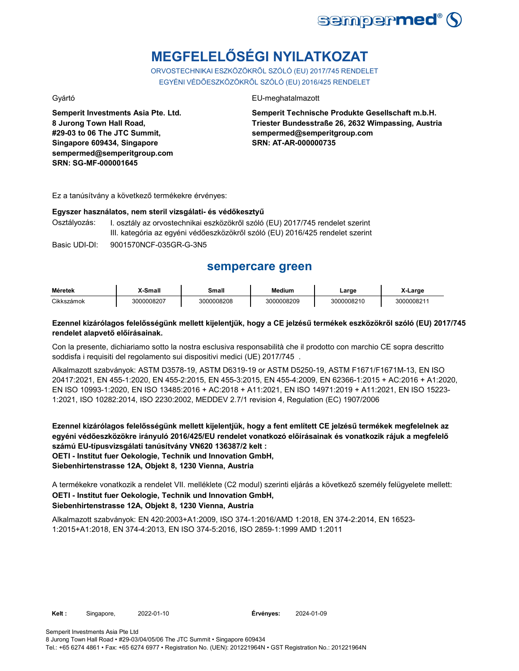

# **MEGFELELŐSÉGI NYILATKOZAT**

ORVOSTECHNIKAI ESZKÖZÖKRŐL SZÓLÓ (EU) 2017/745 RENDELET EGYÉNI VÉDŐESZKÖZÖKRŐL SZÓLÓ (EU) 2016/425 RENDELET

**Semperit Investments Asia Pte. Ltd. 8 Jurong Town Hall Road, #29-03 to 06 The JTC Summit, Singapore 609434, Singapore sempermed@semperitgroup.com SRN: SG-MF-000001645**

#### Gyártó EU-meghatalmazott

**Semperit Technische Produkte Gesellschaft m.b.H. Triester Bundesstraße 26, 2632 Wimpassing, Austria sempermed@semperitgroup.com SRN: AT-AR-000000735**

Ez a tanúsítvány a következő termékekre érvényes:

# **Egyszer használatos, nem steril vizsgálati- és védőkesztyű**

I. osztály az orvostechnikai eszközökről szóló (EU) 2017/745 rendelet szerint III. kategória az egyéni védőeszközökről szóló (EU) 2016/425 rendelet szerint

Basic UDI-DI: 9001570NCF-035GR-G-3N5

# **sempercare green**

| Méretek    | X-Small    | Small      | Medium     | Large      | X-Large   |
|------------|------------|------------|------------|------------|-----------|
| Cikkszámok | 3000008207 | 3000008208 | 3000008209 | 3000008210 | 300000821 |

### **Ezennel kizárólagos felelősségünk mellett kijelentjük, hogy a CE jelzésű termékek eszközökről szóló (EU) 2017/745 rendelet alapvető előírásainak.**

Con la presente, dichiariamo sotto la nostra esclusiva responsabilità che il prodotto con marchio CE sopra descritto soddisfa i requisiti del regolamento sui dispositivi medici (UE) 2017/745 .

Alkalmazott szabványok: ASTM D3578-19, ASTM D6319-19 or ASTM D5250-19, ASTM F1671/F1671M-13, EN ISO 20417:2021, EN 455-1:2020, EN 455-2:2015, EN 455-3:2015, EN 455-4:2009, EN 62366-1:2015 + AC:2016 + A1:2020, EN ISO 10993-1:2020, EN ISO 13485:2016 + AC:2018 + A11:2021, EN ISO 14971:2019 + A11:2021, EN ISO 15223- 1:2021, ISO 10282:2014, ISO 2230:2002, MEDDEV 2.7/1 revision 4, Regulation (EC) 1907/2006

**Ezennel kizárólagos felelősségünk mellett kijelentjük, hogy a fent említett CE jelzésű termékek megfelelnek az egyéni védőeszközökre irányuló 2016/425/EU rendelet vonatkozó előírásainak és vonatkozik rájuk a megfelelő számú EU-típusvizsgálati tanúsítvány VN620 136387/2 kelt : OETI - Institut fuer Oekologie, Technik und Innovation GmbH, Siebenhirtenstrasse 12A, Objekt 8, 1230 Vienna, Austria**

A termékekre vonatkozik a rendelet VII. melléklete (C2 modul) szerinti eljárás a következő személy felügyelete mellett: **OETI - Institut fuer Oekologie, Technik und Innovation GmbH, Siebenhirtenstrasse 12A, Objekt 8, 1230 Vienna, Austria**

Alkalmazott szabványok: EN 420:2003+A1:2009, ISO 374-1:2016/AMD 1:2018, EN 374-2:2014, EN 16523- 1:2015+A1:2018, EN 374-4:2013, EN ISO 374-5:2016, ISO 2859-1:1999 AMD 1:2011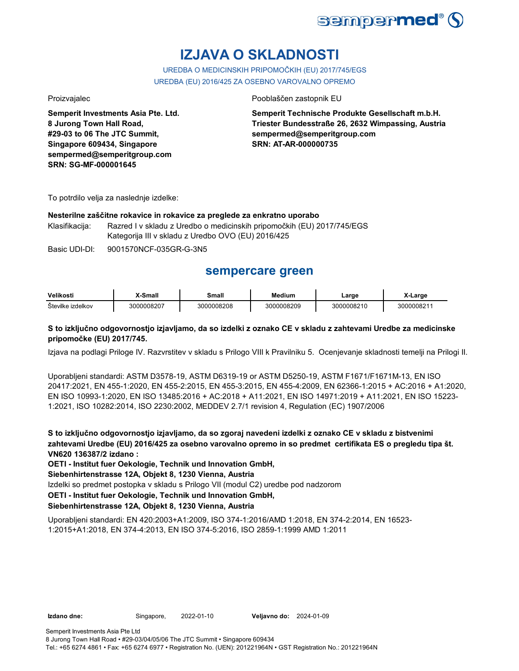

# **IZJAVA O SKLADNOSTI**

UREDBA O MEDICINSKIH PRIPOMOČKIH (EU) 2017/745/EGS UREDBA (EU) 2016/425 ZA OSEBNO VAROVALNO OPREMO

**Semperit Investments Asia Pte. Ltd. 8 Jurong Town Hall Road, #29-03 to 06 The JTC Summit, Singapore 609434, Singapore sempermed@semperitgroup.com SRN: SG-MF-000001645**

#### Proizvajalec Pooblaščen zastopnik EU

**Semperit Technische Produkte Gesellschaft m.b.H. Triester Bundesstraße 26, 2632 Wimpassing, Austria sempermed@semperitgroup.com SRN: AT-AR-000000735**

To potrdilo velja za naslednje izdelke:

#### **Nesterilne zaščitne rokavice in rokavice za preglede za enkratno uporabo**

Klasifikacija: Razred I v skladu z Uredbo o medicinskih pripomočkih (EU) 2017/745/EGS Kategorija III v skladu z Uredbo OVO (EU) 2016/425

Basic UDI-DI: 9001570NCF-035GR-G-3N5

## **sempercare green**

| Velikost                    | ີ <sup>ເ</sup> ດືອນ | Small   | Medium     | _arge           | Large         |
|-----------------------------|---------------------|---------|------------|-----------------|---------------|
| <b>Stevilke</b><br>izdelkov | 0008207             | 0008208 | 3000008209 | 10008210<br>זחה | וחה<br>ງດດຂວະ |

### **S to izključno odgovornostjo izjavljamo, da so izdelki z oznako CE v skladu z zahtevami Uredbe za medicinske pripomočke (EU) 2017/745.**

Izjava na podlagi Priloge IV. Razvrstitev v skladu s Prilogo VIII k Pravilniku 5. Ocenjevanje skladnosti temelji na Prilogi II.

Uporabljeni standardi: ASTM D3578-19, ASTM D6319-19 or ASTM D5250-19, ASTM F1671/F1671M-13, EN ISO 20417:2021, EN 455-1:2020, EN 455-2:2015, EN 455-3:2015, EN 455-4:2009, EN 62366-1:2015 + AC:2016 + A1:2020, EN ISO 10993-1:2020, EN ISO 13485:2016 + AC:2018 + A11:2021, EN ISO 14971:2019 + A11:2021, EN ISO 15223- 1:2021, ISO 10282:2014, ISO 2230:2002, MEDDEV 2.7/1 revision 4, Regulation (EC) 1907/2006

**S to izključno odgovornostjo izjavljamo, da so zgoraj navedeni izdelki z oznako CE v skladu z bistvenimi zahtevami Uredbe (EU) 2016/425 za osebno varovalno opremo in so predmet certifikata ES o pregledu tipa št. VN620 136387/2 izdano :**

**OETI - Institut fuer Oekologie, Technik und Innovation GmbH,** 

**Siebenhirtenstrasse 12A, Objekt 8, 1230 Vienna, Austria**

Izdelki so predmet postopka v skladu s Prilogo VII (modul C2) uredbe pod nadzorom

**OETI - Institut fuer Oekologie, Technik und Innovation GmbH,** 

### **Siebenhirtenstrasse 12A, Objekt 8, 1230 Vienna, Austria**

Uporabljeni standardi: EN 420:2003+A1:2009, ISO 374-1:2016/AMD 1:2018, EN 374-2:2014, EN 16523- 1:2015+A1:2018, EN 374-4:2013, EN ISO 374-5:2016, ISO 2859-1:1999 AMD 1:2011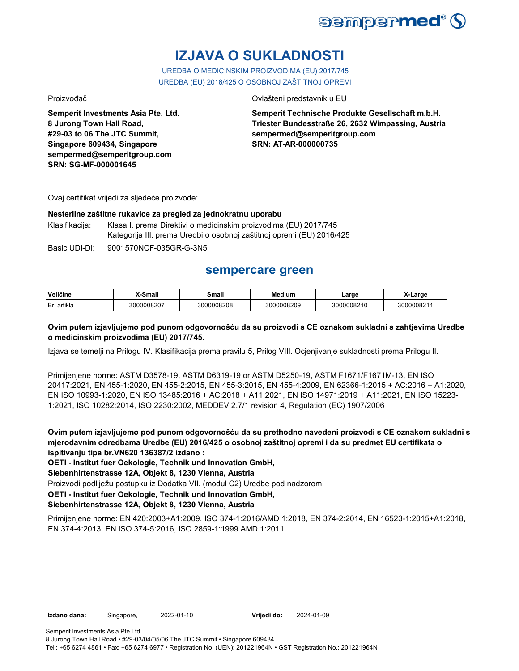

# **IZJAVA O SUKLADNOSTI**

UREDBA O MEDICINSKIM PROIZVODIMA (EU) 2017/745 UREDBA (EU) 2016/425 O OSOBNOJ ZAŠTITNOJ OPREMI

**Semperit Investments Asia Pte. Ltd. 8 Jurong Town Hall Road, #29-03 to 06 The JTC Summit, Singapore 609434, Singapore sempermed@semperitgroup.com SRN: SG-MF-000001645**

#### Proizvođač Ovlašteni predstavnik u EU

**Semperit Technische Produkte Gesellschaft m.b.H. Triester Bundesstraße 26, 2632 Wimpassing, Austria sempermed@semperitgroup.com SRN: AT-AR-000000735**

Ovaj certifikat vrijedi za sljedeće proizvode:

#### **Nesterilne zaštitne rukavice za pregled za jednokratnu uporabu**

Klasifikacija: Klasa I. prema Direktivi o medicinskim proizvodima (EU) 2017/745 Kategorija III. prema Uredbi o osobnoj zaštitnoj opremi (EU) 2016/425

Basic UDI-DI: 9001570NCF-035GR-G-3N5

## **sempercare green**

| Veličine      | $_{\rm C}$<br>шан | Small           | . .<br>edium | ∟arɑe    | _arɑe          |
|---------------|-------------------|-----------------|--------------|----------|----------------|
| Br<br>artikla | 0008207<br>חג     | 0008208<br>≀∩הג | 3000008209   | 00008210 | 0000821<br>חה? |

### **Ovim putem izjavljujemo pod punom odgovornošću da su proizvodi s CE oznakom sukladni s zahtjevima Uredbe o medicinskim proizvodima (EU) 2017/745.**

Izjava se temelji na Prilogu IV. Klasifikacija prema pravilu 5, Prilog VIII. Ocjenjivanje sukladnosti prema Prilogu II.

Primijenjene norme: ASTM D3578-19, ASTM D6319-19 or ASTM D5250-19, ASTM F1671/F1671M-13, EN ISO 20417:2021, EN 455-1:2020, EN 455-2:2015, EN 455-3:2015, EN 455-4:2009, EN 62366-1:2015 + AC:2016 + A1:2020, EN ISO 10993-1:2020, EN ISO 13485:2016 + AC:2018 + A11:2021, EN ISO 14971:2019 + A11:2021, EN ISO 15223- 1:2021, ISO 10282:2014, ISO 2230:2002, MEDDEV 2.7/1 revision 4, Regulation (EC) 1907/2006

**Ovim putem izjavljujemo pod punom odgovornošću da su prethodno navedeni proizvodi s CE oznakom sukladni s mjerodavnim odredbama Uredbe (EU) 2016/425 o osobnoj zaštitnoj opremi i da su predmet EU certifikata o ispitivanju tipa br.VN620 136387/2 izdano :**

**OETI - Institut fuer Oekologie, Technik und Innovation GmbH,** 

**Siebenhirtenstrasse 12A, Objekt 8, 1230 Vienna, Austria**

Proizvodi podliježu postupku iz Dodatka VII. (modul C2) Uredbe pod nadzorom

**OETI - Institut fuer Oekologie, Technik und Innovation GmbH,** 

### **Siebenhirtenstrasse 12A, Objekt 8, 1230 Vienna, Austria**

Primijenjene norme: EN 420:2003+A1:2009, ISO 374-1:2016/AMD 1:2018, EN 374-2:2014, EN 16523-1:2015+A1:2018, EN 374-4:2013, EN ISO 374-5:2016, ISO 2859-1:1999 AMD 1:2011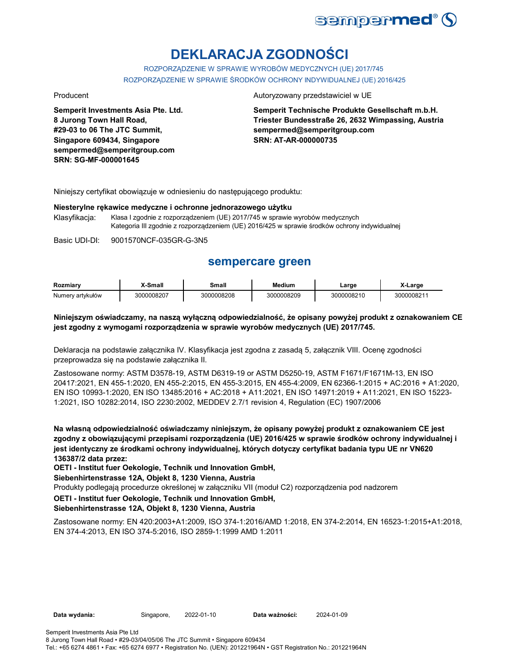

# **DEKLARACJA ZGODNOŚCI**

ROZPORZĄDZENIE W SPRAWIE WYROBÓW MEDYCZNYCH (UE) 2017/745 ROZPORZĄDZENIE W SPRAWIE ŚRODKÓW OCHRONY INDYWIDUALNEJ (UE) 2016/425

**Semperit Investments Asia Pte. Ltd. 8 Jurong Town Hall Road, #29-03 to 06 The JTC Summit, Singapore 609434, Singapore sempermed@semperitgroup.com SRN: SG-MF-000001645**

#### Producent **Autoryzowany przedstawiciel w UE**

**Semperit Technische Produkte Gesellschaft m.b.H. Triester Bundesstraße 26, 2632 Wimpassing, Austria sempermed@semperitgroup.com SRN: AT-AR-000000735**

Niniejszy certyfikat obowiązuje w odniesieniu do następującego produktu:

#### **Niesterylne rękawice medyczne i ochronne jednorazowego użytku**

Klasyfikacja: Klasa I zgodnie z rozporządzeniem (UE) 2017/745 w sprawie wyrobów medycznych Kategoria III zgodnie z rozporządzeniem (UE) 2016/425 w sprawie środków ochrony indywidualnej

Basic UDI-DI: 9001570NCF-035GR-G-3N5

## **sempercare green**

| Rozmiarv         | X-Small    | Small      | <b>Medium</b> | ∟arge      | X-Larɑe                |
|------------------|------------|------------|---------------|------------|------------------------|
| Numerv artvkułów | 3000008207 | 3000008208 | 3000008209    | 3000008210 | 300000821 <sup>.</sup> |

#### **Niniejszym oświadczamy, na naszą wyłączną odpowiedzialność, że opisany powyżej produkt z oznakowaniem CE jest zgodny z wymogami rozporządzenia w sprawie wyrobów medycznych (UE) 2017/745.**

Deklaracja na podstawie załącznika IV. Klasyfikacja jest zgodna z zasadą 5, załącznik VIII. Ocenę zgodności przeprowadza się na podstawie załącznika II.

Zastosowane normy: ASTM D3578-19, ASTM D6319-19 or ASTM D5250-19, ASTM F1671/F1671M-13, EN ISO 20417:2021, EN 455-1:2020, EN 455-2:2015, EN 455-3:2015, EN 455-4:2009, EN 62366-1:2015 + AC:2016 + A1:2020, EN ISO 10993-1:2020, EN ISO 13485:2016 + AC:2018 + A11:2021, EN ISO 14971:2019 + A11:2021, EN ISO 15223- 1:2021, ISO 10282:2014, ISO 2230:2002, MEDDEV 2.7/1 revision 4, Regulation (EC) 1907/2006

**Na własną odpowiedzialność oświadczamy niniejszym, że opisany powyżej produkt z oznakowaniem CE jest zgodny z obowiązującymi przepisami rozporządzenia (UE) 2016/425 w sprawie środków ochrony indywidualnej i jest identyczny ze środkami ochrony indywidualnej, których dotyczy certyfikat badania typu UE nr VN620 136387/2 data przez:**

**OETI - Institut fuer Oekologie, Technik und Innovation GmbH,** 

**Siebenhirtenstrasse 12A, Objekt 8, 1230 Vienna, Austria**

Produkty podlegają procedurze określonej w załączniku VII (moduł C2) rozporządzenia pod nadzorem

**OETI - Institut fuer Oekologie, Technik und Innovation GmbH,** 

#### **Siebenhirtenstrasse 12A, Objekt 8, 1230 Vienna, Austria**

Zastosowane normy: EN 420:2003+A1:2009, ISO 374-1:2016/AMD 1:2018, EN 374-2:2014, EN 16523-1:2015+A1:2018, EN 374-4:2013, EN ISO 374-5:2016, ISO 2859-1:1999 AMD 1:2011

Data ważności: 2024-01-09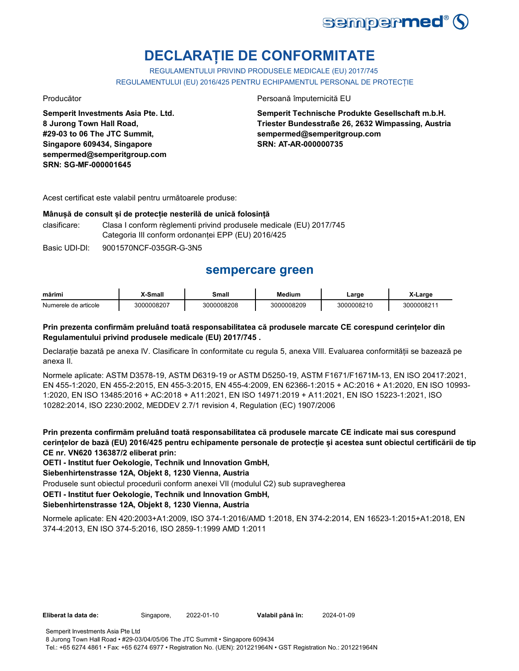

# **DECLARAȚIE DE CONFORMITATE**

REGULAMENTULUI PRIVIND PRODUSELE MEDICALE (EU) 2017/745 REGULAMENTULUI (EU) 2016/425 PENTRU ECHIPAMENTUL PERSONAL DE PROTECȚIE

**Semperit Investments Asia Pte. Ltd. 8 Jurong Town Hall Road, #29-03 to 06 The JTC Summit, Singapore 609434, Singapore sempermed@semperitgroup.com SRN: SG-MF-000001645**

#### Producător Persoană împuternicită EU

**Semperit Technische Produkte Gesellschaft m.b.H. Triester Bundesstraße 26, 2632 Wimpassing, Austria sempermed@semperitgroup.com SRN: AT-AR-000000735**

Acest certificat este valabil pentru următoarele produse:

#### **Mânușă de consult și de protecție nesterilă de unică folosință**

clasificare: Clasa I conform règlementi privind produsele medicale (EU) 2017/745 Categoria III conform ordonanței EPP (EU) 2016/425

Basic UDI-DI: 9001570NCF-035GR-G-3N5

# **sempercare green**

| mărimi               | -Small     | Small      | Medium     | ∟arɑe      | ∟arɑe     |
|----------------------|------------|------------|------------|------------|-----------|
| Numerele de articole | 3000008207 | 3000008208 | 3000008209 | 3000008210 | 300000821 |

### **Prin prezenta confirmăm preluând toată responsabilitatea că produsele marcate CE corespund cerințelor din Regulamentului privind produsele medicale (EU) 2017/745 .**

Declarație bazată pe anexa IV. Clasificare în conformitate cu regula 5, anexa VIII. Evaluarea conformității se bazează pe anexa II.

Normele aplicate: ASTM D3578-19, ASTM D6319-19 or ASTM D5250-19, ASTM F1671/F1671M-13, EN ISO 20417:2021, EN 455-1:2020, EN 455-2:2015, EN 455-3:2015, EN 455-4:2009, EN 62366-1:2015 + AC:2016 + A1:2020, EN ISO 10993- 1:2020, EN ISO 13485:2016 + AC:2018 + A11:2021, EN ISO 14971:2019 + A11:2021, EN ISO 15223-1:2021, ISO 10282:2014, ISO 2230:2002, MEDDEV 2.7/1 revision 4, Regulation (EC) 1907/2006

**Prin prezenta confirmăm preluând toată responsabilitatea că produsele marcate CE indicate mai sus corespund cerințelor de bază (EU) 2016/425 pentru echipamente personale de protecție și acestea sunt obiectul certificării de tip CE nr. VN620 136387/2 eliberat prin:**

**OETI - Institut fuer Oekologie, Technik und Innovation GmbH,** 

**Siebenhirtenstrasse 12A, Objekt 8, 1230 Vienna, Austria**

Produsele sunt obiectul procedurii conform anexei VII (modulul C2) sub supravegherea

**OETI - Institut fuer Oekologie, Technik und Innovation GmbH,** 

#### **Siebenhirtenstrasse 12A, Objekt 8, 1230 Vienna, Austria**

Normele aplicate: EN 420:2003+A1:2009, ISO 374-1:2016/AMD 1:2018, EN 374-2:2014, EN 16523-1:2015+A1:2018, EN 374-4:2013, EN ISO 374-5:2016, ISO 2859-1:1999 AMD 1:2011

**Eliberat la data de:** Singapore, 2022-01-10

8 Jurong Town Hall Road • #29-03/04/05/06 The JTC Summit • Singapore 609434 Tel.: +65 6274 4861 • Fax: +65 6274 6977 • Registration No. (UEN): 201221964N • GST Registration No.: 201221964N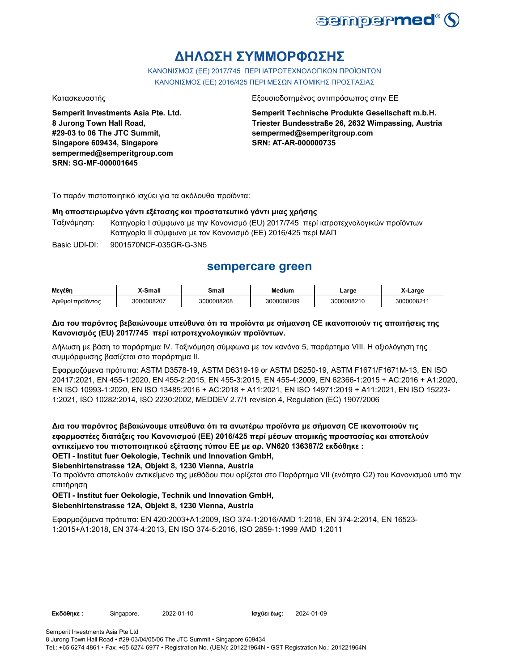

# **ΔΗΛΩΣΗ ΣΥΜΜΟΡΦΩΣΗΣ**

ΚΑΝΟΝΙΣΜΟΣ (EE) 2017/745 ΠΕΡΙ ΙΑΤΡΟΤΕΧΝΟΛΟΓΙΚΩΝ ΠΡΟΪΟΝΤΩΝ ΚΑΝΟΝΙΣΜΟΣ (ΕΕ) 2016/425 ΠΕΡΙ ΜΕΣΩΝ ΑΤΟΜΙΚΗΣ ΠΡΟΣΤΑΣΙΑΣ

**Semperit Investments Asia Pte. Ltd. 8 Jurong Town Hall Road, #29-03 to 06 The JTC Summit, Singapore 609434, Singapore sempermed@semperitgroup.com SRN: SG-MF-000001645**

#### Κατασκευαστής Εξουσιοδοτημένος αντιπρόσωπος στην ΕΕ

**Semperit Technische Produkte Gesellschaft m.b.H. Triester Bundesstraße 26, 2632 Wimpassing, Austria sempermed@semperitgroup.com SRN: AT-AR-000000735**

Το παρόν πιστοποιητικό ισχύει για τα ακόλουθα προϊόντα:

#### **Μη αποστειρωμένο γάντι εξέτασης και προστατευτικό γάντι μιας χρήσης**

Ταξινόμηση: Κατηγορία I σύμφωνα με την Κανονισμό (EU) 2017/745 περί ιατροτεχνολογικών προϊόντων Κατηγορία II σύμφωνα με τον Κανονισμό (ΕΕ) 2016/425 περί ΜΑΠ

Basic UDI-DI: 9001570NCF-035GR-G-3N5 9001570NCF-035GR-G-3

## **sempercare green**

| Μενέθη            | X-Small    | Small      | <b>Medium</b> | ∟arge      | X-Large   |
|-------------------|------------|------------|---------------|------------|-----------|
| Αριθμοί προϊόντος | 3000008207 | 3000008208 | 3000008209    | 3000008210 | 300000821 |

### **Δια του παρόντος βεβαιώνουμε υπεύθυνα ότι τα προϊόντα με σήμανση CE ικανοποιούν τις απαιτήσεις της Κανονισμός (EU) 2017/745 περί ιατροτεχνολογικών προϊόντων.**

Δήλωση με βάση το παράρτημα IV. Ταξινόμηση σύμφωνα με τον κανόνα 5, παράρτημα VIII. Η αξιολόγηση της συμμόρφωσης βασίζεται στο παράρτημα II.

Εφαρμοζόμενα πρότυπα: ASTM D3578-19, ASTM D6319-19 or ASTM D5250-19, ASTM F1671/F1671M-13, EN ISO 20417:2021, EN 455-1:2020, EN 455-2:2015, EN 455-3:2015, EN 455-4:2009, EN 62366-1:2015 + AC:2016 + A1:2020, EN ISO 10993-1:2020, EN ISO 13485:2016 + AC:2018 + A11:2021, EN ISO 14971:2019 + A11:2021, EN ISO 15223- 1:2021, ISO 10282:2014, ISO 2230:2002, MEDDEV 2.7/1 revision 4, Regulation (EC) 1907/2006

**Δια του παρόντος βεβαιώνουμε υπεύθυνα ότι τα ανωτέρω προϊόντα με σήμανση CE ικανοποιούν τις εφαρμοστέες διατάξεις του Κανονισμού (ΕΕ) 2016/425 περί μέσων ατομικής προστασίας και αποτελούν αντικείμενο του πιστοποιητικού εξέτασης τύπου ΕΕ με αρ. VN620 136387/2 εκδόθηκε : OETI - Institut fuer Oekologie, Technik und Innovation GmbH,** 

#### **Siebenhirtenstrasse 12A, Objekt 8, 1230 Vienna, Austria**

Τα προϊόντα αποτελούν αντικείμενο της μεθόδου που ορίζεται στο Παράρτημα VII (ενότητα C2) του Κανονισμού υπό την επιτήρηση

#### **OETI - Institut fuer Oekologie, Technik und Innovation GmbH,**

#### **Siebenhirtenstrasse 12A, Objekt 8, 1230 Vienna, Austria**

Εφαρμοζόμενα πρότυπα: EN 420:2003+A1:2009, ISO 374-1:2016/AMD 1:2018, EN 374-2:2014, EN 16523- 1:2015+A1:2018, EN 374-4:2013, EN ISO 374-5:2016, ISO 2859-1:1999 AMD 1:2011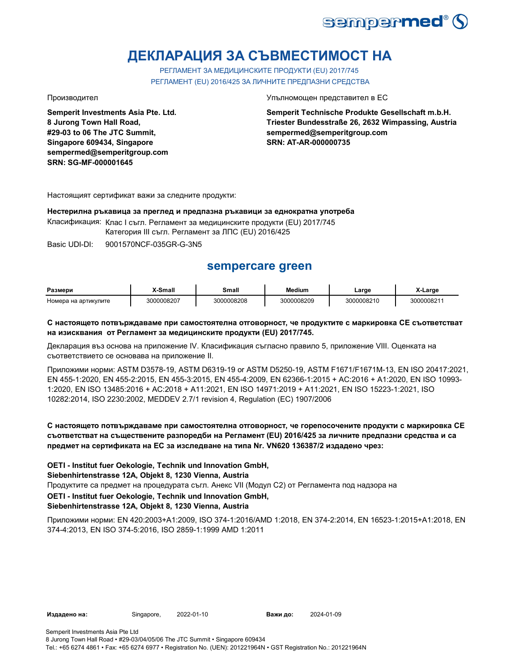

# **ДЕКЛАРАЦИЯ ЗА СЪВМЕСТИМОСТ НА**

РЕГЛАМЕНТ ЗА МЕДИЦИНСКИТЕ ПРОДУКТИ (EU) 2017/745 РЕГЛАМЕНТ (EU) 2016/425 ЗА ЛИЧНИТЕ ПРЕДПАЗНИ СРЕДСТВА

**Semperit Investments Asia Pte. Ltd. 8 Jurong Town Hall Road, #29-03 to 06 The JTC Summit, Singapore 609434, Singapore sempermed@semperitgroup.com SRN: SG-MF-000001645**

#### Производител Упълномощен представител в ЕС

**Semperit Technische Produkte Gesellschaft m.b.H. Triester Bundesstraße 26, 2632 Wimpassing, Austria sempermed@semperitgroup.com SRN: AT-AR-000000735**

Настоящият сертификат важи за следните продукти:

#### **Нестерилна ръкавица за преглед и предпазна ръкавици за еднократна употреба**

Класификация: Клас I съгл. Регламент за медицинските продукти (EU) 2017/745

Категория III съгл. Регламент за ЛПС (EU) 2016/425

Basic UDI-DI: 9001570NCF-035GR-G-3N5

# **sempercare green**

| Размери              | X-Small    | Small      | <b>Medium</b> | ∟arɑe      | Large     |
|----------------------|------------|------------|---------------|------------|-----------|
| Номера на артикулите | 3000008207 | 3000008208 | 3000008209    | 3000008210 | 300000821 |

### **С настоящето потвърждаваме при самостоятелна отговорност, че продуктите с маркировка СЕ съответстват на изисквания от Регламент за медицинските продукти (EU) 2017/745.**

Декларация въз основа на приложение IV. Класификация съгласно правило 5, приложение VIII. Оценката на съответствието се основава на приложение II.

Приложими норми: ASTM D3578-19, ASTM D6319-19 or ASTM D5250-19, ASTM F1671/F1671M-13, EN ISO 20417:2021, EN 455-1:2020, EN 455-2:2015, EN 455-3:2015, EN 455-4:2009, EN 62366-1:2015 + AC:2016 + A1:2020, EN ISO 10993- 1:2020, EN ISO 13485:2016 + AC:2018 + A11:2021, EN ISO 14971:2019 + A11:2021, EN ISO 15223-1:2021, ISO 10282:2014, ISO 2230:2002, MEDDEV 2.7/1 revision 4, Regulation (EC) 1907/2006

### **С настоящето потвърждаваме при самостоятелна отговорност, че горепосочените продукти с маркировка СЕ съответстват на съществените разпоредби на Регламент (EU) 2016/425 за личните предпазни средства и са предмет на сертификата на ЕС за изследване на типа Nr. VN620 136387/2 издадено чрез:**

**OETI - Institut fuer Oekologie, Technik und Innovation GmbH,** 

**Siebenhirtenstrasse 12A, Objekt 8, 1230 Vienna, Austria**

Продуктите са предмет на процедурата съгл. Анекс VII (Модул С2) от Регламента под надзора на

**OETI - Institut fuer Oekologie, Technik und Innovation GmbH,** 

## **Siebenhirtenstrasse 12A, Objekt 8, 1230 Vienna, Austria**

Приложими норми: EN 420:2003+A1:2009, ISO 374-1:2016/AMD 1:2018, EN 374-2:2014, EN 16523-1:2015+A1:2018, EN 374-4:2013, EN ISO 374-5:2016, ISO 2859-1:1999 AMD 1:2011

**Издадено на:** Singapore, 2022-01-10

**Важи до:** 2024-01-09